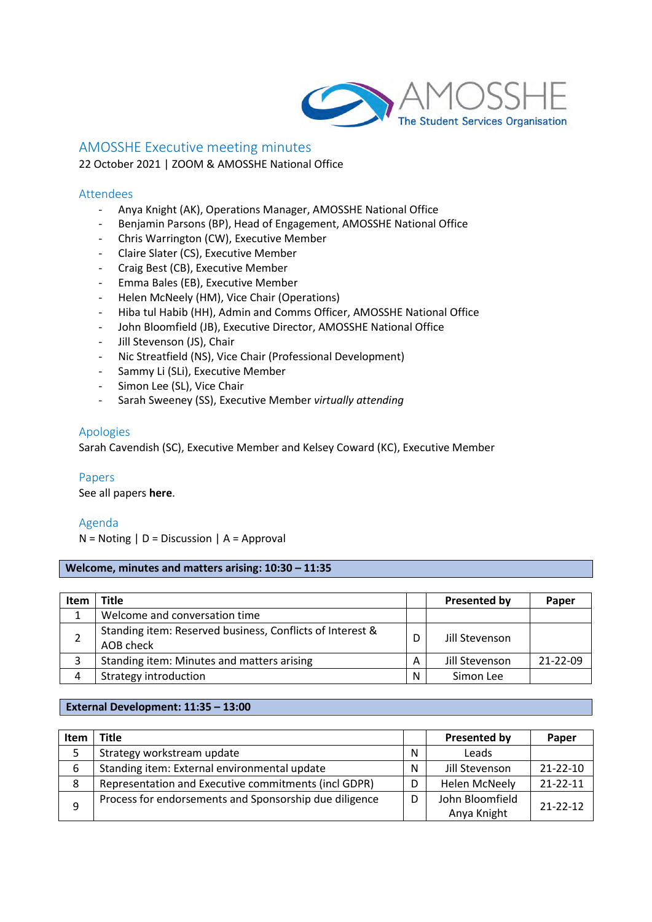

## AMOSSHE Executive meeting minutes

22 October 2021 | ZOOM & AMOSSHE National Office

### Attendees

- Anya Knight (AK), Operations Manager, AMOSSHE National Office
- Benjamin Parsons (BP), Head of Engagement, AMOSSHE National Office
- Chris Warrington (CW), Executive Member
- Claire Slater (CS), Executive Member
- Craig Best (CB), Executive Member
- Emma Bales (EB), Executive Member
- Helen McNeely (HM), Vice Chair (Operations)
- Hiba tul Habib (HH), Admin and Comms Officer, AMOSSHE National Office
- John Bloomfield (JB), Executive Director, AMOSSHE National Office
- Jill Stevenson (JS), Chair
- Nic Streatfield (NS), Vice Chair (Professional Development)
- Sammy Li (SLi), Executive Member
- Simon Lee (SL), Vice Chair
- Sarah Sweeney (SS), Executive Member *virtually attending*

### Apologies

Sarah Cavendish (SC), Executive Member and Kelsey Coward (KC), Executive Member  

### Papers

See all papers **[here](https://amosshe275.sharepoint.com/:f:/g/EjoBEeUqPBtHvQWmvGLG9GwBVSmFW51xSPG3LKKsZ9TGvw?e=swWJ9N)**.

### Agenda

 $N = Noting | D = Discussion | A = Approval$ 

### **Welcome, minutes and matters arising: 10:30 – 11:35**

| Item | <b>Title</b>                                                           |   | Presented by   | Paper          |
|------|------------------------------------------------------------------------|---|----------------|----------------|
|      | Welcome and conversation time                                          |   |                |                |
|      | Standing item: Reserved business, Conflicts of Interest &<br>AOB check | D | Jill Stevenson |                |
| 3    | Standing item: Minutes and matters arising                             | A | Jill Stevenson | $21 - 22 - 09$ |
|      | Strategy introduction                                                  | N | Simon Lee      |                |

### **External Development: 11:35 – 13:00**

| Item | <b>Title</b>                                           |   | <b>Presented by</b>  | Paper          |
|------|--------------------------------------------------------|---|----------------------|----------------|
|      | Strategy workstream update                             | N | Leads                |                |
| 6    | Standing item: External environmental update           | N | Jill Stevenson       | $21 - 22 - 10$ |
| 8    | Representation and Executive commitments (incl GDPR)   | D | <b>Helen McNeely</b> | $21 - 22 - 11$ |
| q    | Process for endorsements and Sponsorship due diligence | D | John Bloomfield      | $21 - 22 - 12$ |
|      |                                                        |   | Anya Knight          |                |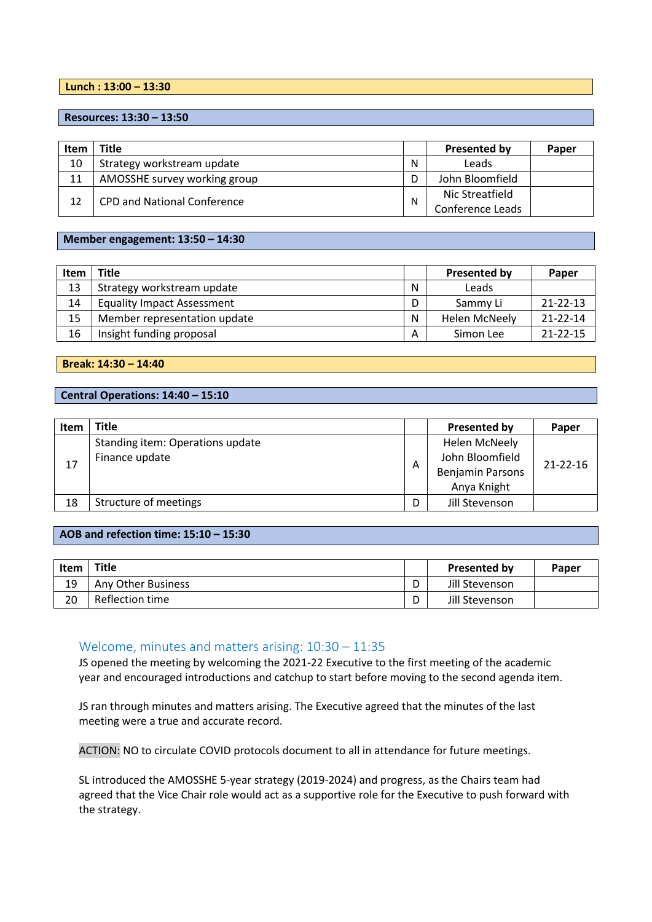### **Lunch : 13:00 – 13:30**

**Resources: 13:30 – 13:50**

| Item | Title                              |   | Presented by     | Paper |
|------|------------------------------------|---|------------------|-------|
| 10   | Strategy workstream update         | N | Leads            |       |
| 11   | AMOSSHE survey working group       |   | John Bloomfield  |       |
| 12   | <b>CPD and National Conference</b> |   | Nic Streatfield  |       |
|      |                                    |   | Conference Leads |       |

### **Member engagement: 13:50 – 14:30**

| <b>Item</b> | <b>Title</b>                      |   | <b>Presented by</b>  | Paper          |
|-------------|-----------------------------------|---|----------------------|----------------|
| 13          | Strategy workstream update        | N | Leads                |                |
| 14          | <b>Equality Impact Assessment</b> | D | Sammy Li             | $21 - 22 - 13$ |
| 15          | Member representation update      | N | <b>Helen McNeely</b> | $21 - 22 - 14$ |
| 16          | Insight funding proposal          | A | Simon Lee            | $21 - 22 - 15$ |

**Break: 14:30 – 14:40**

### **Central Operations: 14:40 – 15:10**

| <b>Item</b> | <b>Title</b>                     |   | Presented by            | Paper          |
|-------------|----------------------------------|---|-------------------------|----------------|
|             | Standing item: Operations update |   | <b>Helen McNeely</b>    |                |
| 17          | Finance update                   |   | John Bloomfield         | $21 - 22 - 16$ |
|             |                                  | Α | <b>Benjamin Parsons</b> |                |
|             |                                  |   | Anya Knight             |                |
| 18          | Structure of meetings            | D | Jill Stevenson          |                |

### **AOB and refection time: 15:10 – 15:30**

| <b>Item</b> | <b>Title</b>       |   | <b>Presented by</b> | Paper |
|-------------|--------------------|---|---------------------|-------|
| 19          | Any Other Business |   | Jill Stevenson      |       |
| 20          | Reflection time    | ∍ | Jill Stevenson      |       |

### Welcome, minutes and matters arising: 10:30 – 11:35

JS opened the meeting by welcoming the 2021-22 Executive to the first meeting of the academic year and encouraged introductions and catchup to start before moving to the second agenda item.

JS ran through minutes and matters arising. The Executive agreed that the minutes of the last meeting were a true and accurate record.

ACTION: NO to circulate COVID protocols document to all in attendance for future meetings.

SL introduced the AMOSSHE 5-year strategy (2019-2024) and progress, as the Chairs team had agreed that the Vice Chair role would act as a supportive role for the Executive to push forward with the strategy.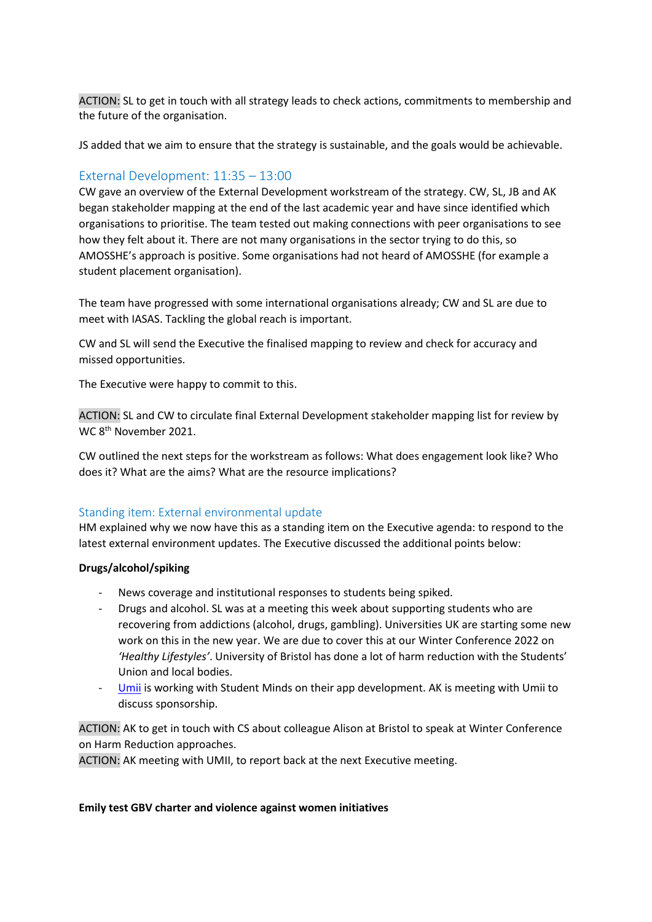ACTION: SL to get in touch with all strategy leads to check actions, commitments to membership and the future of the organisation.

JS added that we aim to ensure that the strategy is sustainable, and the goals would be achievable.

## External Development: 11:35 – 13:00

CW gave an overview of the External Development workstream of the strategy. CW, SL, JB and AK began stakeholder mapping at the end of the last academic year and have since identified which organisations to prioritise. The team tested out making connections with peer organisations to see how they felt about it. There are not many organisations in the sector trying to do this, so AMOSSHE's approach is positive. Some organisations had not heard of AMOSSHE (for example a student placement organisation).

The team have progressed with some international organisations already; CW and SL are due to meet with IASAS. Tackling the global reach is important.

CW and SL will send the Executive the finalised mapping to review and check for accuracy and missed opportunities.

The Executive were happy to commit to this.

ACTION: SL and CW to circulate final External Development stakeholder mapping list for review by WC 8<sup>th</sup> November 2021.

CW outlined the next steps for the workstream as follows: What does engagement look like? Who does it? What are the aims? What are the resource implications?

## Standing item: External environmental update

HM explained why we now have this as a standing item on the Executive agenda: to respond to the latest external environment updates. The Executive discussed the additional points below:

## **Drugs/alcohol/spiking**

- News coverage and institutional responses to students being spiked.
- Drugs and alcohol. SL was at a meeting this week about supporting students who are recovering from addictions (alcohol, drugs, gambling). Universities UK are starting some new work on this in the new year. We are due to cover this at our Winter Conference 2022 on *'Healthy Lifestyles'*. University of Bristol has done a lot of harm reduction with the Students' Union and local bodies.
- [Umii](https://umii.app/) is working with Student Minds on their app development. AK is meeting with Umii to discuss sponsorship.

ACTION: AK to get in touch with CS about colleague Alison at Bristol to speak at Winter Conference on Harm Reduction approaches.

ACTION: AK meeting with UMII, to report back at the next Executive meeting.

### **Emily test GBV charter and violence against women initiatives**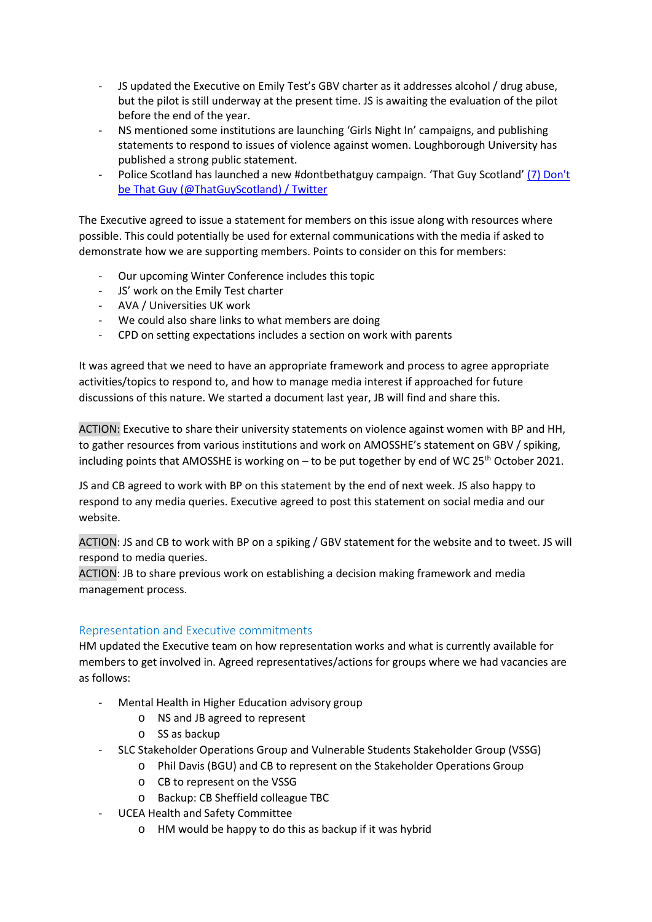- JS updated the Executive on Emily Test's GBV charter as it addresses alcohol / drug abuse, but the pilot is still underway at the present time. JS is awaiting the evaluation of the pilot before the end of the year.
- NS mentioned some institutions are launching 'Girls Night In' campaigns, and publishing statements to respond to issues of violence against women. Loughborough University has published a strong public statement.
- Police Scotland has launched a new #dontbethatguy campaign. 'That Guy Scotland' [\(7\) Don't](https://twitter.com/thatguyscotland)  [be That Guy \(@ThatGuyScotland\) / Twitter](https://twitter.com/thatguyscotland)

The Executive agreed to issue a statement for members on this issue along with resources where possible. This could potentially be used for external communications with the media if asked to demonstrate how we are supporting members. Points to consider on this for members:

- Our upcoming Winter Conference includes this topic
- JS' work on the Emily Test charter
- AVA / Universities UK work
- We could also share links to what members are doing
- CPD on setting expectations includes a section on work with parents

It was agreed that we need to have an appropriate framework and process to agree appropriate activities/topics to respond to, and how to manage media interest if approached for future discussions of this nature. We started a document last year, JB will find and share this.

ACTION: Executive to share their university statements on violence against women with BP and HH, to gather resources from various institutions and work on AMOSSHE's statement on GBV / spiking, including points that AMOSSHE is working on  $-$  to be put together by end of WC 25<sup>th</sup> October 2021.

JS and CB agreed to work with BP on this statement by the end of next week. JS also happy to respond to any media queries. Executive agreed to post this statement on social media and our website.

ACTION: JS and CB to work with BP on a spiking / GBV statement for the website and to tweet. JS will respond to media queries.

ACTION: JB to share previous work on establishing a decision making framework and media management process.

# Representation and Executive commitments

HM updated the Executive team on how representation works and what is currently available for members to get involved in. Agreed representatives/actions for groups where we had vacancies are as follows:

- Mental Health in Higher Education advisory group
	- o NS and JB agreed to represent
	- o SS as backup
- SLC Stakeholder Operations Group and Vulnerable Students Stakeholder Group (VSSG)
	- o Phil Davis (BGU) and CB to represent on the Stakeholder Operations Group
		- o CB to represent on the VSSG
		- o Backup: CB Sheffield colleague TBC
- UCEA Health and Safety Committee
	- o HM would be happy to do this as backup if it was hybrid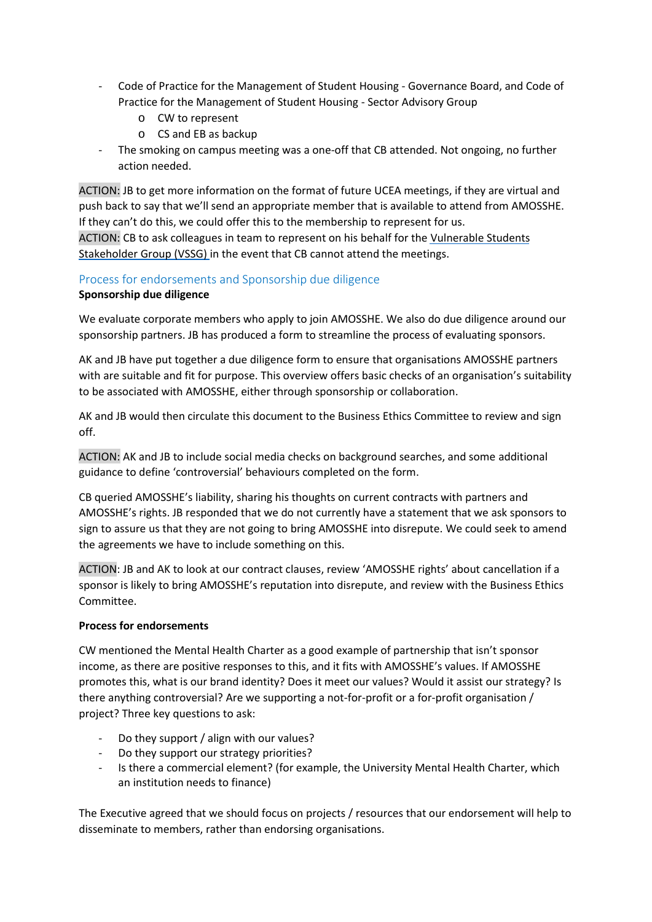- Code of Practice for the Management of Student Housing Governance Board, and Code of Practice for the Management of Student Housing - Sector Advisory Group
	- o CW to represent
	- o CS and EB as backup
- The smoking on campus meeting was a one-off that CB attended. Not ongoing, no further action needed.

ACTION: JB to get more information on the format of future UCEA meetings, if they are virtual and push back to say that we'll send an appropriate member that is available to attend from AMOSSHE. If they can't do this, we could offer this to the membership to represent for us.

ACTION: CB to ask colleagues in team to represent on his behalf for the Vulnerable Students Stakeholder Group (VSSG) in the event that CB cannot attend the meetings.

# Process for endorsements and Sponsorship due diligence

## **Sponsorship due diligence**

We evaluate corporate members who apply to join AMOSSHE. We also do due diligence around our sponsorship partners. JB has produced a form to streamline the process of evaluating sponsors.

AK and JB have put together a due diligence form to ensure that organisations AMOSSHE partners with are suitable and fit for purpose. This overview offers basic checks of an organisation's suitability to be associated with AMOSSHE, either through sponsorship or collaboration.

AK and JB would then circulate this document to the Business Ethics Committee to review and sign off.

ACTION: AK and JB to include social media checks on background searches, and some additional guidance to define 'controversial' behaviours completed on the form.

CB queried AMOSSHE's liability, sharing his thoughts on current contracts with partners and AMOSSHE's rights. JB responded that we do not currently have a statement that we ask sponsors to sign to assure us that they are not going to bring AMOSSHE into disrepute. We could seek to amend the agreements we have to include something on this.

ACTION: JB and AK to look at our contract clauses, review 'AMOSSHE rights' about cancellation if a sponsor is likely to bring AMOSSHE's reputation into disrepute, and review with the Business Ethics Committee.

## **Process for endorsements**

CW mentioned the Mental Health Charter as a good example of partnership that isn't sponsor income, as there are positive responses to this, and it fits with AMOSSHE's values. If AMOSSHE promotes this, what is our brand identity? Does it meet our values? Would it assist our strategy? Is there anything controversial? Are we supporting a not-for-profit or a for-profit organisation / project? Three key questions to ask:

- Do they support / align with our values?
- Do they support our strategy priorities?
- Is there a commercial element? (for example, the University Mental Health Charter, which an institution needs to finance)

The Executive agreed that we should focus on projects / resources that our endorsement will help to disseminate to members, rather than endorsing organisations.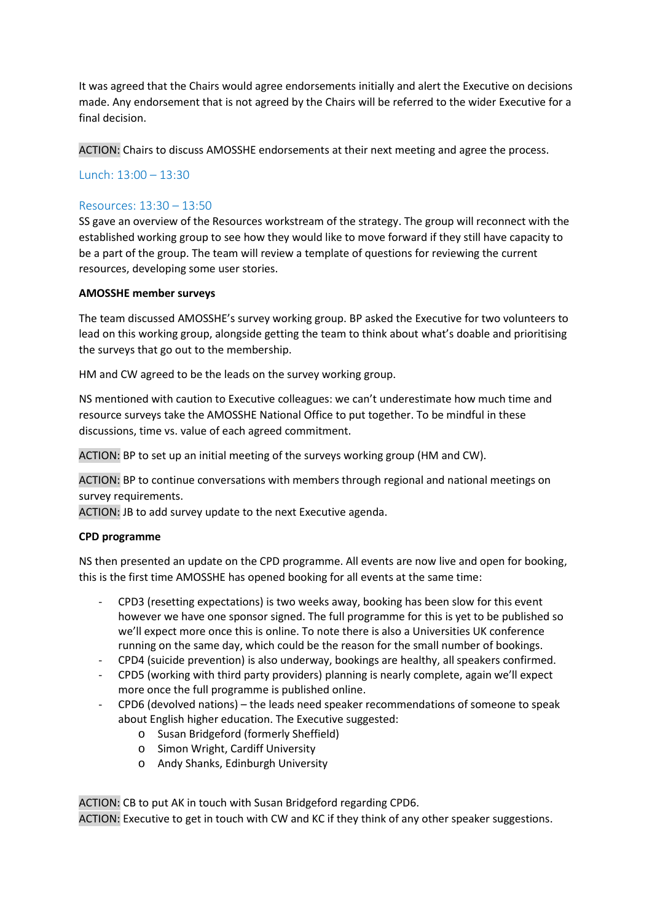It was agreed that the Chairs would agree endorsements initially and alert the Executive on decisions made. Any endorsement that is not agreed by the Chairs will be referred to the wider Executive for a final decision.

ACTION: Chairs to discuss AMOSSHE endorsements at their next meeting and agree the process.

## Lunch: 13:00 – 13:30

## Resources: 13:30 – 13:50

SS gave an overview of the Resources workstream of the strategy. The group will reconnect with the established working group to see how they would like to move forward if they still have capacity to be a part of the group. The team will review a template of questions for reviewing the current resources, developing some user stories.

### **AMOSSHE member surveys**

The team discussed AMOSSHE's survey working group. BP asked the Executive for two volunteers to lead on this working group, alongside getting the team to think about what's doable and prioritising the surveys that go out to the membership.

HM and CW agreed to be the leads on the survey working group.

NS mentioned with caution to Executive colleagues: we can't underestimate how much time and resource surveys take the AMOSSHE National Office to put together. To be mindful in these discussions, time vs. value of each agreed commitment.

ACTION: BP to set up an initial meeting of the surveys working group (HM and CW).

ACTION: BP to continue conversations with members through regional and national meetings on survey requirements.

ACTION: JB to add survey update to the next Executive agenda.

### **CPD programme**

NS then presented an update on the CPD programme. All events are now live and open for booking, this is the first time AMOSSHE has opened booking for all events at the same time:

- CPD3 (resetting expectations) is two weeks away, booking has been slow for this event however we have one sponsor signed. The full programme for this is yet to be published so we'll expect more once this is online. To note there is also a Universities UK conference running on the same day, which could be the reason for the small number of bookings.
- CPD4 (suicide prevention) is also underway, bookings are healthy, all speakers confirmed.
- CPD5 (working with third party providers) planning is nearly complete, again we'll expect more once the full programme is published online.
- CPD6 (devolved nations) the leads need speaker recommendations of someone to speak about English higher education. The Executive suggested:
	- o Susan Bridgeford (formerly Sheffield)
	- o Simon Wright, Cardiff University
	- o Andy Shanks, Edinburgh University

ACTION: CB to put AK in touch with Susan Bridgeford regarding CPD6.

ACTION: Executive to get in touch with CW and KC if they think of any other speaker suggestions.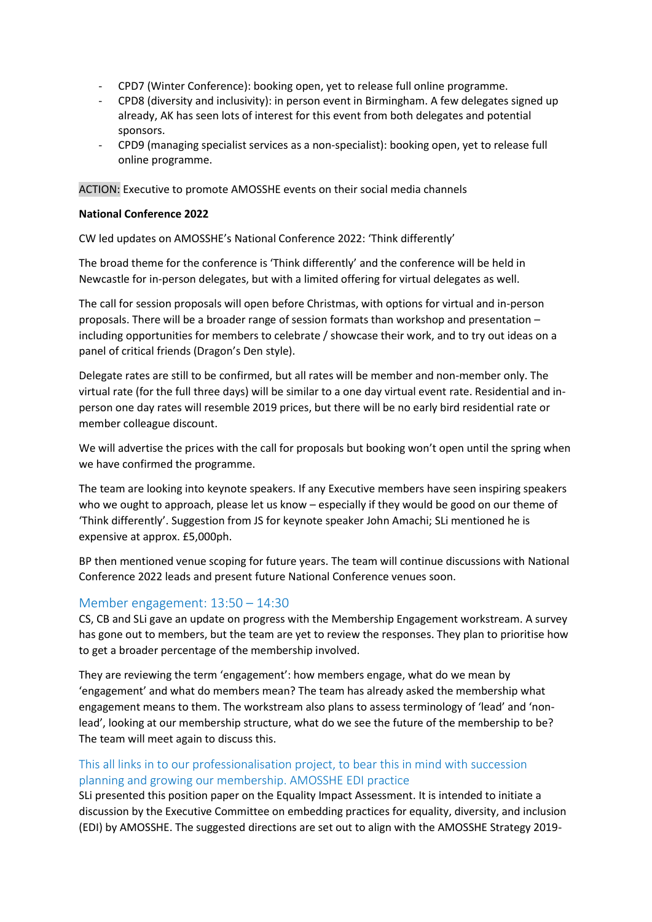- CPD7 (Winter Conference): booking open, yet to release full online programme.
- CPD8 (diversity and inclusivity): in person event in Birmingham. A few delegates signed up already, AK has seen lots of interest for this event from both delegates and potential sponsors.
- CPD9 (managing specialist services as a non-specialist): booking open, yet to release full online programme.

ACTION: Executive to promote AMOSSHE events on their social media channels

### **National Conference 2022**

CW led updates on AMOSSHE's National Conference 2022: 'Think differently'

The broad theme for the conference is 'Think differently' and the conference will be held in Newcastle for in-person delegates, but with a limited offering for virtual delegates as well.

The call for session proposals will open before Christmas, with options for virtual and in-person proposals. There will be a broader range of session formats than workshop and presentation – including opportunities for members to celebrate / showcase their work, and to try out ideas on a panel of critical friends (Dragon's Den style).

Delegate rates are still to be confirmed, but all rates will be member and non-member only. The virtual rate (for the full three days) will be similar to a one day virtual event rate. Residential and inperson one day rates will resemble 2019 prices, but there will be no early bird residential rate or member colleague discount.

We will advertise the prices with the call for proposals but booking won't open until the spring when we have confirmed the programme.

The team are looking into keynote speakers. If any Executive members have seen inspiring speakers who we ought to approach, please let us know – especially if they would be good on our theme of 'Think differently'. Suggestion from JS for keynote speaker John Amachi; SLi mentioned he is expensive at approx. £5,000ph.

BP then mentioned venue scoping for future years. The team will continue discussions with National Conference 2022 leads and present future National Conference venues soon.

## Member engagement: 13:50 – 14:30

CS, CB and SLi gave an update on progress with the Membership Engagement workstream. A survey has gone out to members, but the team are yet to review the responses. They plan to prioritise how to get a broader percentage of the membership involved.

They are reviewing the term 'engagement': how members engage, what do we mean by 'engagement' and what do members mean? The team has already asked the membership what engagement means to them. The workstream also plans to assess terminology of 'lead' and 'nonlead', looking at our membership structure, what do we see the future of the membership to be? The team will meet again to discuss this.

# This all links in to our professionalisation project, to bear this in mind with succession planning and growing our membership. AMOSSHE EDI practice

SLi presented this position paper on the Equality Impact Assessment. It is intended to initiate a discussion by the Executive Committee on embedding practices for equality, diversity, and inclusion (EDI) by AMOSSHE. The suggested directions are set out to align with the AMOSSHE Strategy 2019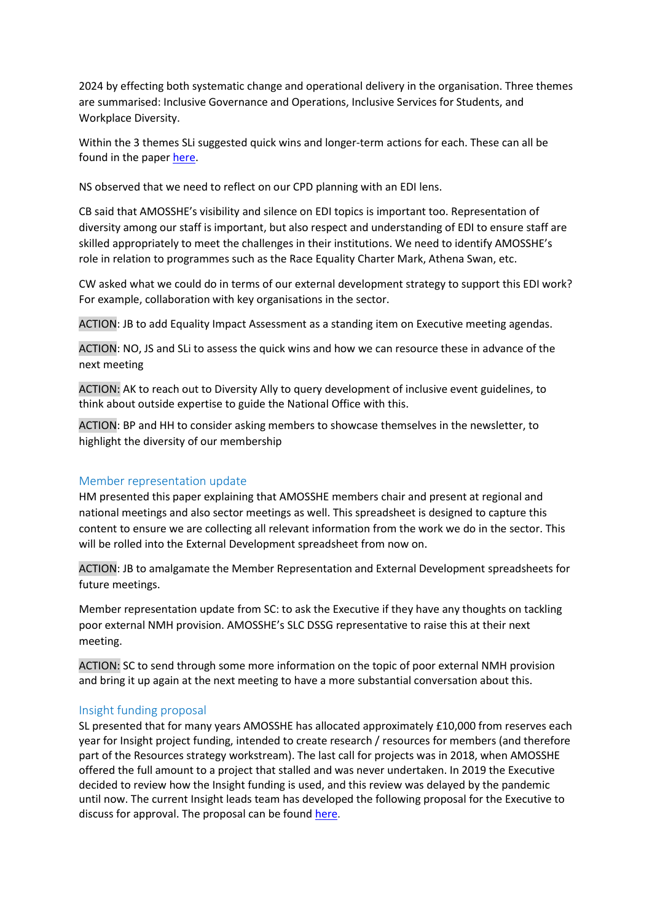2024 by effecting both systematic change and operational delivery in the organisation. Three themes are summarised: Inclusive Governance and Operations, Inclusive Services for Students, and Workplace Diversity.

Within the 3 themes SLi suggested quick wins and longer-term actions for each. These can all be found in the paper [here.](#page-13-0)

NS observed that we need to reflect on our CPD planning with an EDI lens.

CB said that AMOSSHE's visibility and silence on EDI topics is important too. Representation of diversity among our staff is important, but also respect and understanding of EDI to ensure staff are skilled appropriately to meet the challenges in their institutions. We need to identify AMOSSHE's role in relation to programmes such as the Race Equality Charter Mark, Athena Swan, etc.

CW asked what we could do in terms of our external development strategy to support this EDI work? For example, collaboration with key organisations in the sector.

ACTION: JB to add Equality Impact Assessment as a standing item on Executive meeting agendas.

ACTION: NO, JS and SLi to assess the quick wins and how we can resource these in advance of the next meeting

ACTION: AK to reach out to Diversity Ally to query development of inclusive event guidelines, to think about outside expertise to guide the National Office with this.

ACTION: BP and HH to consider asking members to showcase themselves in the newsletter, to highlight the diversity of our membership

## Member representation update

HM presented this paper explaining that AMOSSHE members chair and present at regional and national meetings and also sector meetings as well. This spreadsheet is designed to capture this content to ensure we are collecting all relevant information from the work we do in the sector. This will be rolled into the External Development spreadsheet from now on.

ACTION: JB to amalgamate the Member Representation and External Development spreadsheets for future meetings.

Member representation update from SC: to ask the Executive if they have any thoughts on tackling poor external NMH provision. AMOSSHE's SLC DSSG representative to raise this at their next meeting.

ACTION: SC to send through some more information on the topic of poor external NMH provision and bring it up again at the next meeting to have a more substantial conversation about this.

## Insight funding proposal

SL presented that for many years AMOSSHE has allocated approximately £10,000 from reserves each year for Insight project funding, intended to create research / resources for members (and therefore part of the Resources strategy workstream). The last call for projects was in 2018, when AMOSSHE offered the full amount to a project that stalled and was never undertaken. In 2019 the Executive decided to review how the Insight funding is used, and this review was delayed by the pandemic until now. The current Insight leads team has developed the following proposal for the Executive to discuss for approval. The proposal can be foun[d here](#page-18-0).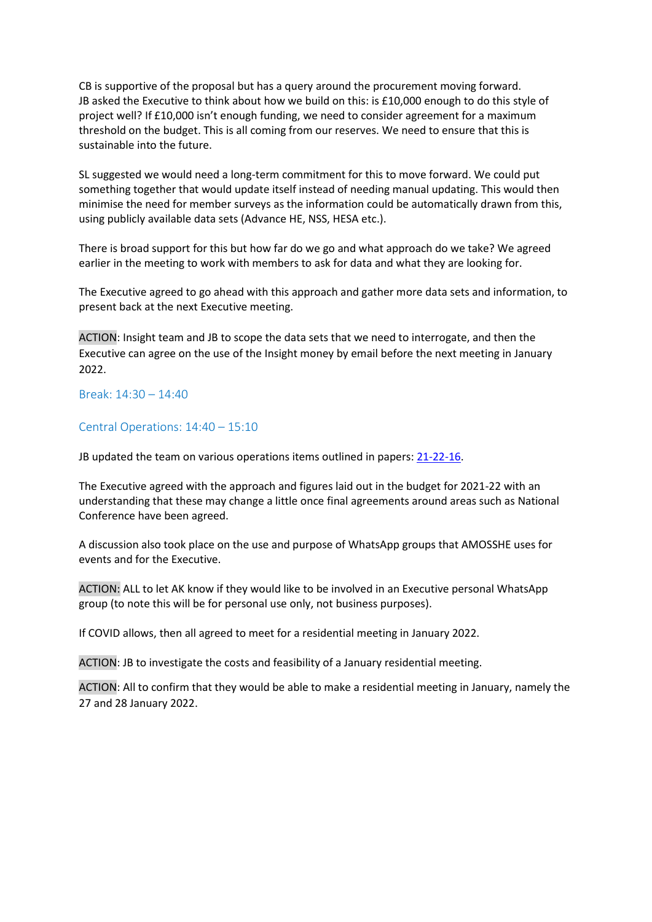CB is supportive of the proposal but has a query around the procurement moving forward. JB asked the Executive to think about how we build on this: is £10,000 enough to do this style of project well? If £10,000 isn't enough funding, we need to consider agreement for a maximum threshold on the budget. This is all coming from our reserves. We need to ensure that this is sustainable into the future.

SL suggested we would need a long-term commitment for this to move forward. We could put something together that would update itself instead of needing manual updating. This would then minimise the need for member surveys as the information could be automatically drawn from this, using publicly available data sets (Advance HE, NSS, HESA etc.).

There is broad support for this but how far do we go and what approach do we take? We agreed earlier in the meeting to work with members to ask for data and what they are looking for.

The Executive agreed to go ahead with this approach and gather more data sets and information, to present back at the next Executive meeting.

ACTION: Insight team and JB to scope the data sets that we need to interrogate, and then the Executive can agree on the use of the Insight money by email before the next meeting in January 2022.

Break: 14:30 – 14:40

### Central Operations: 14:40 – 15:10

JB updated the team on various operations items outlined in papers: [21-22-16.](#page-19-0) 

The Executive agreed with the approach and figures laid out in the budget for 2021-22 with an understanding that these may change a little once final agreements around areas such as National Conference have been agreed.

A discussion also took place on the use and purpose of WhatsApp groups that AMOSSHE uses for events and for the Executive.

ACTION: ALL to let AK know if they would like to be involved in an Executive personal WhatsApp group (to note this will be for personal use only, not business purposes).

If COVID allows, then all agreed to meet for a residential meeting in January 2022.

ACTION: JB to investigate the costs and feasibility of a January residential meeting.

ACTION: All to confirm that they would be able to make a residential meeting in January, namely the 27 and 28 January 2022.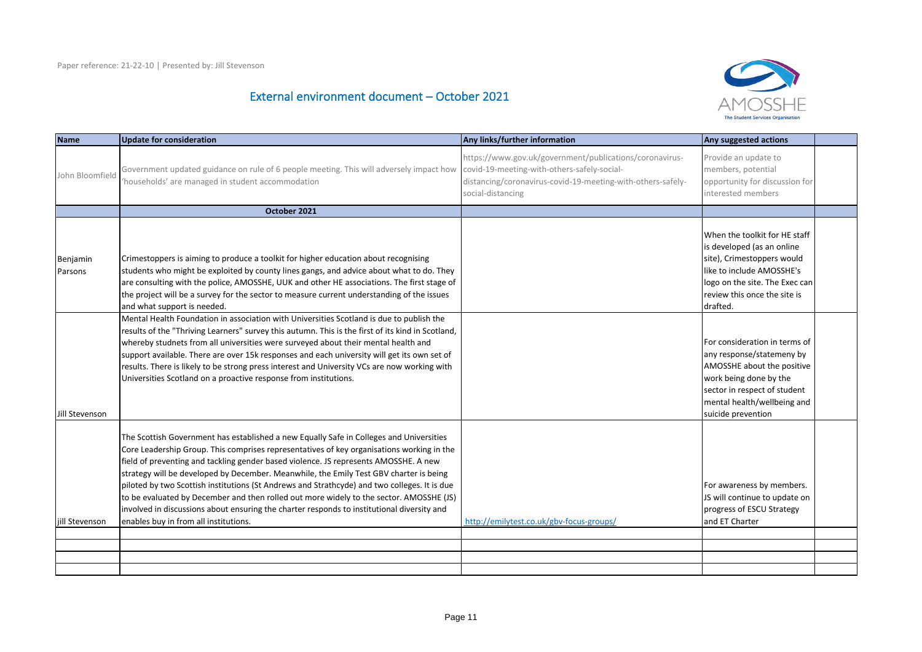# External environment document – October 2021



| <b>Name</b>         | <b>Update for consideration</b>                                                                                                                                                                                                                                                                                                                                                                                                                                                                                                                                                                                                                                                                          | Any links/further information                                                                                                                                                              | Any suggested actions                                                                                                                                                                                   |  |
|---------------------|----------------------------------------------------------------------------------------------------------------------------------------------------------------------------------------------------------------------------------------------------------------------------------------------------------------------------------------------------------------------------------------------------------------------------------------------------------------------------------------------------------------------------------------------------------------------------------------------------------------------------------------------------------------------------------------------------------|--------------------------------------------------------------------------------------------------------------------------------------------------------------------------------------------|---------------------------------------------------------------------------------------------------------------------------------------------------------------------------------------------------------|--|
| John Bloomfield     | Government updated guidance on rule of 6 people meeting. This will adversely impact how<br>'households' are managed in student accommodation                                                                                                                                                                                                                                                                                                                                                                                                                                                                                                                                                             | https://www.gov.uk/government/publications/coronavirus-<br>covid-19-meeting-with-others-safely-social-<br>distancing/coronavirus-covid-19-meeting-with-others-safely-<br>social-distancing | Provide an update to<br>members, potential<br>opportunity for discussion for<br>interested members                                                                                                      |  |
|                     | October 2021                                                                                                                                                                                                                                                                                                                                                                                                                                                                                                                                                                                                                                                                                             |                                                                                                                                                                                            |                                                                                                                                                                                                         |  |
| Benjamin<br>Parsons | Crimestoppers is aiming to produce a toolkit for higher education about recognising<br>students who might be exploited by county lines gangs, and advice about what to do. They<br>are consulting with the police, AMOSSHE, UUK and other HE associations. The first stage of<br>the project will be a survey for the sector to measure current understanding of the issues<br>and what support is needed.                                                                                                                                                                                                                                                                                               |                                                                                                                                                                                            | When the toolkit for HE staff<br>is developed (as an online<br>site), Crimestoppers would<br>like to include AMOSSHE's<br>logo on the site. The Exec can<br>review this once the site is<br>drafted.    |  |
| Jill Stevenson      | Mental Health Foundation in association with Universities Scotland is due to publish the<br>results of the "Thriving Learners" survey this autumn. This is the first of its kind in Scotland,<br>whereby studnets from all universities were surveyed about their mental health and<br>support available. There are over 15k responses and each university will get its own set of<br>results. There is likely to be strong press interest and University VCs are now working with<br>Universities Scotland on a proactive response from institutions.                                                                                                                                                   |                                                                                                                                                                                            | For consideration in terms of<br>any response/statemeny by<br>AMOSSHE about the positive<br>work being done by the<br>sector in respect of student<br>mental health/wellbeing and<br>suicide prevention |  |
| jill Stevenson      | The Scottish Government has established a new Equally Safe in Colleges and Universities<br>Core Leadership Group. This comprises representatives of key organisations working in the<br>field of preventing and tackling gender based violence. JS represents AMOSSHE. A new<br>strategy will be developed by December. Meanwhile, the Emily Test GBV charter is being<br>piloted by two Scottish institutions (St Andrews and Strathcyde) and two colleges. It is due<br>to be evaluated by December and then rolled out more widely to the sector. AMOSSHE (JS)<br>involved in discussions about ensuring the charter responds to institutional diversity and<br>enables buy in from all institutions. | http://emilytest.co.uk/gbv-focus-groups/                                                                                                                                                   | For awareness by members.<br>JS will continue to update on<br>progress of ESCU Strategy<br>and ET Charter                                                                                               |  |
|                     |                                                                                                                                                                                                                                                                                                                                                                                                                                                                                                                                                                                                                                                                                                          |                                                                                                                                                                                            |                                                                                                                                                                                                         |  |
|                     |                                                                                                                                                                                                                                                                                                                                                                                                                                                                                                                                                                                                                                                                                                          |                                                                                                                                                                                            |                                                                                                                                                                                                         |  |
|                     |                                                                                                                                                                                                                                                                                                                                                                                                                                                                                                                                                                                                                                                                                                          |                                                                                                                                                                                            |                                                                                                                                                                                                         |  |
|                     |                                                                                                                                                                                                                                                                                                                                                                                                                                                                                                                                                                                                                                                                                                          |                                                                                                                                                                                            |                                                                                                                                                                                                         |  |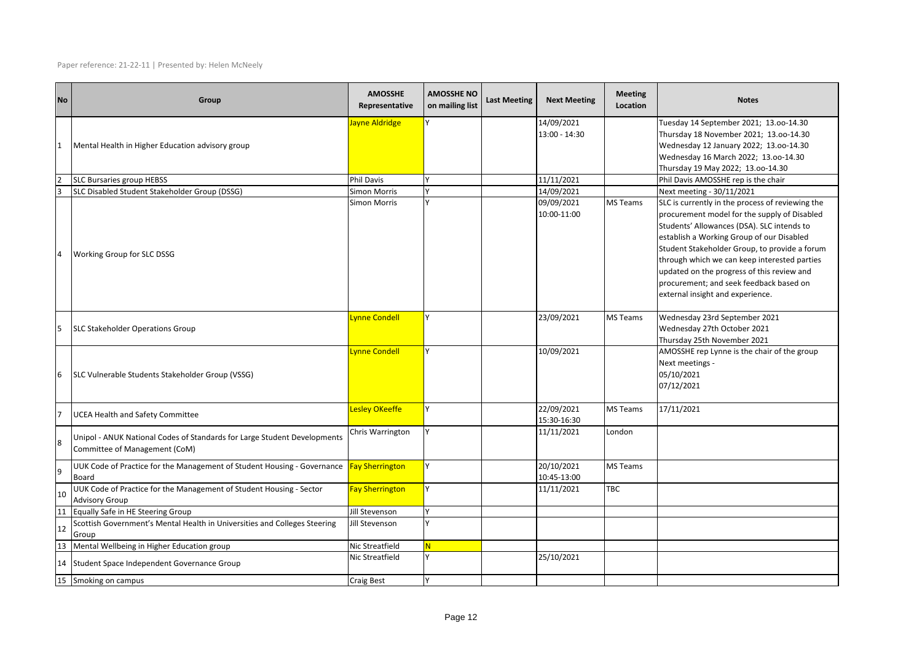Paper reference: 21-22-11 | Presented by: Helen McNeely

| <b>No</b>      | Group                                                                                                     | <b>AMOSSHE</b><br>Representative           | <b>AMOSSHE NO</b><br>on mailing list | <b>Last Meeting</b> | <b>Next Meeting</b>       | <b>Meeting</b><br>Location | <b>Notes</b>                                                                                                                                                                                                                                                                                                                                                          |
|----------------|-----------------------------------------------------------------------------------------------------------|--------------------------------------------|--------------------------------------|---------------------|---------------------------|----------------------------|-----------------------------------------------------------------------------------------------------------------------------------------------------------------------------------------------------------------------------------------------------------------------------------------------------------------------------------------------------------------------|
|                |                                                                                                           | ayne Aldridge                              |                                      |                     | 14/09/2021                |                            | Tuesday 14 September 2021; 13.00-14.30                                                                                                                                                                                                                                                                                                                                |
|                |                                                                                                           |                                            |                                      |                     | 13:00 - 14:30             |                            | Thursday 18 November 2021; 13.00-14.30                                                                                                                                                                                                                                                                                                                                |
| 11             | Mental Health in Higher Education advisory group                                                          |                                            |                                      |                     |                           |                            | Wednesday 12 January 2022; 13.00-14.30                                                                                                                                                                                                                                                                                                                                |
|                |                                                                                                           |                                            |                                      |                     |                           |                            | Wednesday 16 March 2022; 13.00-14.30                                                                                                                                                                                                                                                                                                                                  |
|                |                                                                                                           |                                            |                                      |                     |                           |                            | Thursday 19 May 2022; 13.00-14.30                                                                                                                                                                                                                                                                                                                                     |
|                | <b>SLC Bursaries group HEBSS</b>                                                                          | <b>Phil Davis</b>                          | Y                                    |                     | 11/11/2021                |                            | Phil Davis AMOSSHE rep is the chair                                                                                                                                                                                                                                                                                                                                   |
| E              | SLC Disabled Student Stakeholder Group (DSSG)                                                             | <b>Simon Morris</b><br><b>Simon Morris</b> |                                      |                     | 14/09/2021<br>09/09/2021  | MS Teams                   | Next meeting - 30/11/2021<br>SLC is currently in the process of reviewing the                                                                                                                                                                                                                                                                                         |
| $\overline{4}$ | Working Group for SLC DSSG                                                                                |                                            |                                      |                     | 10:00-11:00               |                            | procurement model for the supply of Disabled<br>Students' Allowances (DSA). SLC intends to<br>establish a Working Group of our Disabled<br>Student Stakeholder Group, to provide a forum<br>through which we can keep interested parties<br>updated on the progress of this review and<br>procurement; and seek feedback based on<br>external insight and experience. |
|                |                                                                                                           | vnne Condell                               | Y                                    |                     | 23/09/2021                | MS Teams                   | Wednesday 23rd September 2021                                                                                                                                                                                                                                                                                                                                         |
| 5              | <b>SLC Stakeholder Operations Group</b>                                                                   |                                            |                                      |                     |                           |                            | Wednesday 27th October 2021                                                                                                                                                                                                                                                                                                                                           |
| 6              | SLC Vulnerable Students Stakeholder Group (VSSG)                                                          | vnne Condell                               |                                      |                     | 10/09/2021                |                            | Thursday 25th November 2021<br>AMOSSHE rep Lynne is the chair of the group<br>Next meetings -<br>05/10/2021<br>07/12/2021                                                                                                                                                                                                                                             |
|                | <b>UCEA Health and Safety Committee</b>                                                                   | Lesley OKeeffe                             | Y                                    |                     | 22/09/2021<br>15:30-16:30 | <b>MS Teams</b>            | 17/11/2021                                                                                                                                                                                                                                                                                                                                                            |
| <b>R</b>       | Unipol - ANUK National Codes of Standards for Large Student Developments<br>Committee of Management (CoM) | Chris Warrington                           | Y                                    |                     | 11/11/2021                | London                     |                                                                                                                                                                                                                                                                                                                                                                       |
| l9             | UUK Code of Practice for the Management of Student Housing - Governance<br><b>Board</b>                   | <b>Fay Sherrington</b>                     | Y                                    |                     | 20/10/2021<br>10:45-13:00 | MS Teams                   |                                                                                                                                                                                                                                                                                                                                                                       |
| 10             | UUK Code of Practice for the Management of Student Housing - Sector<br><b>Advisory Group</b>              | <b>Fay Sherrington</b>                     | Υ                                    |                     | 11/11/2021                | TBC                        |                                                                                                                                                                                                                                                                                                                                                                       |
| 11             | Equally Safe in HE Steering Group                                                                         | Jill Stevenson                             | $\mathsf{v}$                         |                     |                           |                            |                                                                                                                                                                                                                                                                                                                                                                       |
| 12             | Scottish Government's Mental Health in Universities and Colleges Steering<br>Group                        | Jill Stevenson                             |                                      |                     |                           |                            |                                                                                                                                                                                                                                                                                                                                                                       |
| 13             | Mental Wellbeing in Higher Education group                                                                | Nic Streatfield                            | N.                                   |                     |                           |                            |                                                                                                                                                                                                                                                                                                                                                                       |
| 14             | Student Space Independent Governance Group                                                                | Nic Streatfield                            | v                                    |                     | 25/10/2021                |                            |                                                                                                                                                                                                                                                                                                                                                                       |
|                | 15 Smoking on campus                                                                                      | <b>Craig Best</b>                          |                                      |                     |                           |                            |                                                                                                                                                                                                                                                                                                                                                                       |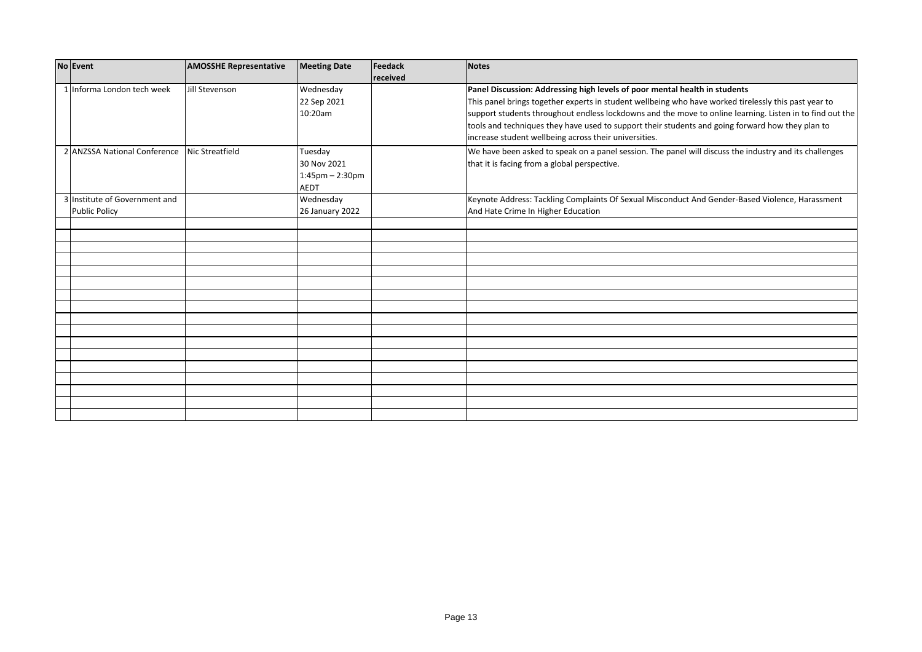| No Event                                     | <b>AMOSSHE Representative</b> | <b>Meeting Date</b> | Feedack  | <b>Notes</b>                                                                                             |
|----------------------------------------------|-------------------------------|---------------------|----------|----------------------------------------------------------------------------------------------------------|
|                                              |                               |                     | received |                                                                                                          |
| 1 Informa London tech week                   | Jill Stevenson                | Wednesday           |          | Panel Discussion: Addressing high levels of poor mental health in students                               |
|                                              |                               | 22 Sep 2021         |          | This panel brings together experts in student wellbeing who have worked tirelessly this past year to     |
|                                              |                               | 10:20am             |          | support students throughout endless lockdowns and the move to online learning. Listen in to find out the |
|                                              |                               |                     |          | tools and techniques they have used to support their students and going forward how they plan to         |
|                                              |                               |                     |          | increase student wellbeing across their universities.                                                    |
| 2 ANZSSA National Conference Nic Streatfield |                               | Tuesday             |          | We have been asked to speak on a panel session. The panel will discuss the industry and its challenges   |
|                                              |                               | 30 Nov 2021         |          | that it is facing from a global perspective.                                                             |
|                                              |                               | $1:45$ pm - 2:30pm  |          |                                                                                                          |
|                                              |                               | <b>AEDT</b>         |          |                                                                                                          |
| 3 Institute of Government and                |                               | Wednesday           |          | Keynote Address: Tackling Complaints Of Sexual Misconduct And Gender-Based Violence, Harassment          |
| <b>Public Policy</b>                         |                               | 26 January 2022     |          | And Hate Crime In Higher Education                                                                       |
|                                              |                               |                     |          |                                                                                                          |
|                                              |                               |                     |          |                                                                                                          |
|                                              |                               |                     |          |                                                                                                          |
|                                              |                               |                     |          |                                                                                                          |
|                                              |                               |                     |          |                                                                                                          |
|                                              |                               |                     |          |                                                                                                          |
|                                              |                               |                     |          |                                                                                                          |
|                                              |                               |                     |          |                                                                                                          |
|                                              |                               |                     |          |                                                                                                          |
|                                              |                               |                     |          |                                                                                                          |
|                                              |                               |                     |          |                                                                                                          |
|                                              |                               |                     |          |                                                                                                          |
|                                              |                               |                     |          |                                                                                                          |
|                                              |                               |                     |          |                                                                                                          |
|                                              |                               |                     |          |                                                                                                          |
|                                              |                               |                     |          |                                                                                                          |
|                                              |                               |                     |          |                                                                                                          |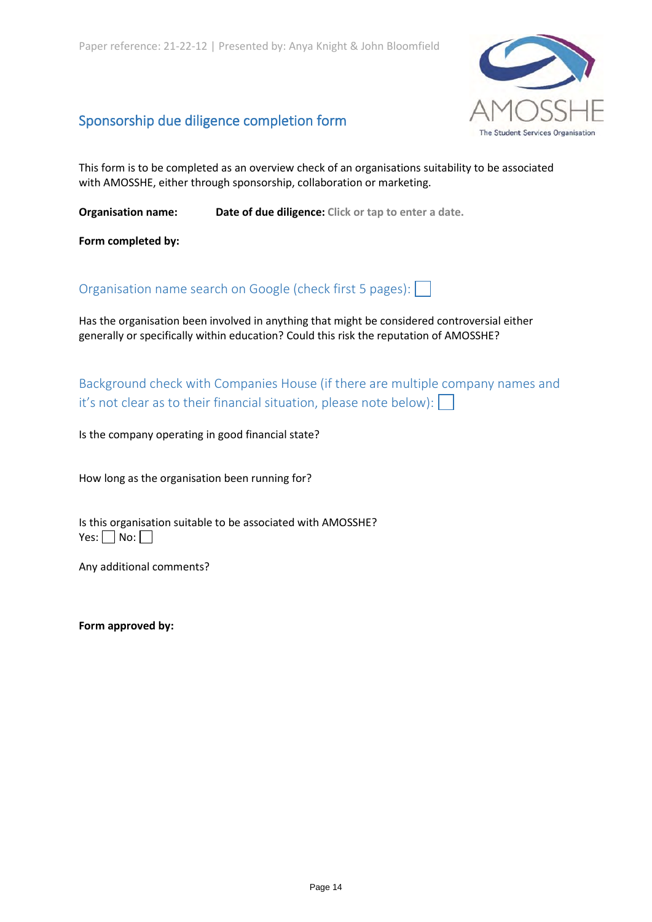

# Sponsorship due diligence completion form

This form is to be completed as an overview check of an organisations suitability to be associated with AMOSSHE, either through sponsorship, collaboration or marketing.

**Organisation name:** Date of due diligence: Click or tap to enter a date.

**Form completed by:**

Organisation name search on Google (check first 5 pages):

Has the organisation been involved in anything that might be considered controversial either generally or specifically within education? Could this risk the reputation of AMOSSHE?

Background check with Companies House (if there are multiple company names and it's not clear as to their financial situation, please note below):  $\lceil$ 

Is the company operating in good financial state?

How long as the organisation been running for?

Is this organisation suitable to be associated with AMOSSHE?  $Yes: \Box No: \Box$ 

Any additional comments?

**Form approved by:**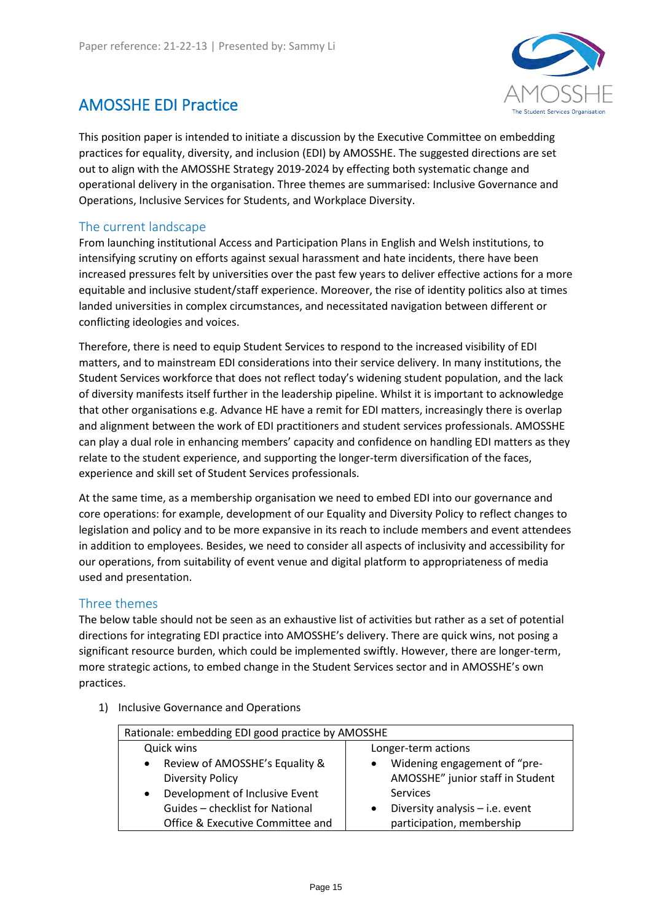

# <span id="page-13-0"></span>AMOSSHE EDI Practice

This position paper is intended to initiate a discussion by the Executive Committee on embedding practices for equality, diversity, and inclusion (EDI) by AMOSSHE. The suggested directions are set out to align with the AMOSSHE Strategy 2019-2024 by effecting both systematic change and operational delivery in the organisation. Three themes are summarised: Inclusive Governance and Operations, Inclusive Services for Students, and Workplace Diversity.

# The current landscape

From launching institutional Access and Participation Plans in English and Welsh institutions, to intensifying scrutiny on efforts against sexual harassment and hate incidents, there have been increased pressures felt by universities over the past few years to deliver effective actions for a more equitable and inclusive student/staff experience. Moreover, the rise of identity politics also at times landed universities in complex circumstances, and necessitated navigation between different or conflicting ideologies and voices.

Therefore, there is need to equip Student Services to respond to the increased visibility of EDI matters, and to mainstream EDI considerations into their service delivery. In many institutions, the Student Services workforce that does not reflect today's widening student population, and the lack of diversity manifests itself further in the leadership pipeline. Whilst it is important to acknowledge that other organisations e.g. Advance HE have a remit for EDI matters, increasingly there is overlap and alignment between the work of EDI practitioners and student services professionals. AMOSSHE can play a dual role in enhancing members' capacity and confidence on handling EDI matters as they relate to the student experience, and supporting the longer-term diversification of the faces, experience and skill set of Student Services professionals.

At the same time, as a membership organisation we need to embed EDI into our governance and core operations: for example, development of our Equality and Diversity Policy to reflect changes to legislation and policy and to be more expansive in its reach to include members and event attendees in addition to employees. Besides, we need to consider all aspects of inclusivity and accessibility for our operations, from suitability of event venue and digital platform to appropriateness of media used and presentation.

# Three themes

The below table should not be seen as an exhaustive list of activities but rather as a set of potential directions for integrating EDI practice into AMOSSHE's delivery. There are quick wins, not posing a significant resource burden, which could be implemented swiftly. However, there are longer-term, more strategic actions, to embed change in the Student Services sector and in AMOSSHE's own practices.

1) Inclusive Governance and Operations

| Rationale: embedding EDI good practice by AMOSSHE                      |                                                                  |  |  |  |
|------------------------------------------------------------------------|------------------------------------------------------------------|--|--|--|
| Quick wins                                                             | Longer-term actions                                              |  |  |  |
| Review of AMOSSHE's Equality &<br>$\bullet$<br><b>Diversity Policy</b> | Widening engagement of "pre-<br>AMOSSHE" junior staff in Student |  |  |  |
| Development of Inclusive Event<br>$\bullet$                            | Services                                                         |  |  |  |
| Guides - checklist for National                                        | Diversity analysis - i.e. event                                  |  |  |  |
| Office & Executive Committee and                                       | participation, membership                                        |  |  |  |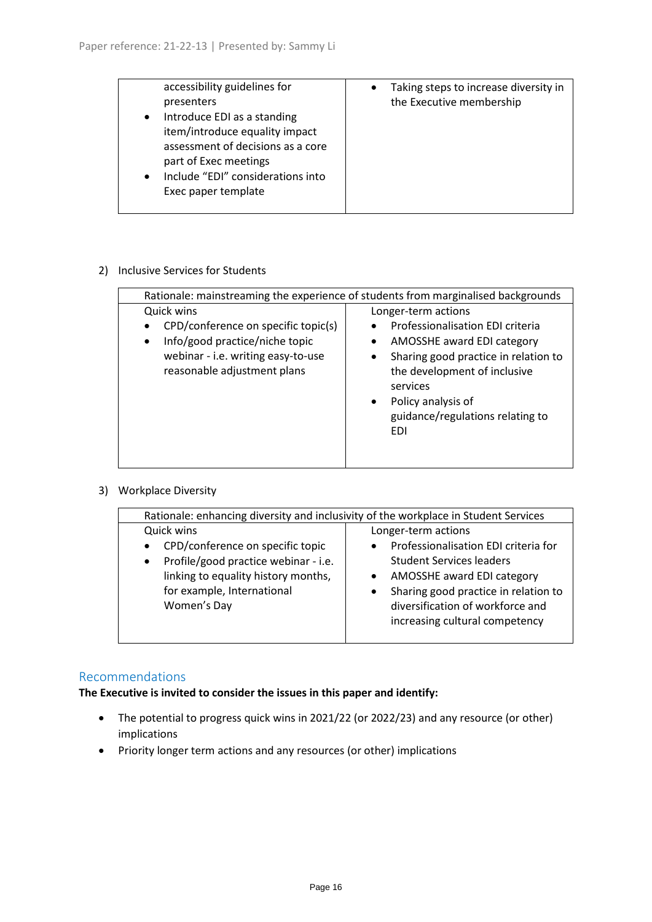| accessibility guidelines for<br>presenters<br>Introduce EDI as a standing<br>$\bullet$                                                         | Taking steps to increase diversity in<br>$\bullet$<br>the Executive membership |
|------------------------------------------------------------------------------------------------------------------------------------------------|--------------------------------------------------------------------------------|
| item/introduce equality impact<br>assessment of decisions as a core<br>part of Exec meetings<br>Include "EDI" considerations into<br>$\bullet$ |                                                                                |
| Exec paper template                                                                                                                            |                                                                                |

# 2) Inclusive Services for Students

| Rationale: mainstreaming the experience of students from marginalised backgrounds                                                                                     |                                                                                                                                                                                                                                                                             |  |  |  |  |
|-----------------------------------------------------------------------------------------------------------------------------------------------------------------------|-----------------------------------------------------------------------------------------------------------------------------------------------------------------------------------------------------------------------------------------------------------------------------|--|--|--|--|
| Quick wins<br>CPD/conference on specific topic(s)<br>Info/good practice/niche topic<br>$\bullet$<br>webinar - i.e. writing easy-to-use<br>reasonable adjustment plans | Longer-term actions<br>Professionalisation EDI criteria<br>AMOSSHE award EDI category<br>Sharing good practice in relation to<br>$\bullet$<br>the development of inclusive<br>services<br>Policy analysis of<br>$\bullet$<br>guidance/regulations relating to<br><b>EDI</b> |  |  |  |  |

# 3) Workplace Diversity

| Rationale: enhancing diversity and inclusivity of the workplace in Student Services                                                                                                                  |                                                                                                                                                                                                                                                                                   |  |  |  |  |  |  |
|------------------------------------------------------------------------------------------------------------------------------------------------------------------------------------------------------|-----------------------------------------------------------------------------------------------------------------------------------------------------------------------------------------------------------------------------------------------------------------------------------|--|--|--|--|--|--|
| Quick wins<br>CPD/conference on specific topic<br>$\bullet$<br>Profile/good practice webinar - i.e.<br>$\bullet$<br>linking to equality history months,<br>for example, International<br>Women's Day | Longer-term actions<br>Professionalisation EDI criteria for<br>$\bullet$<br><b>Student Services leaders</b><br>AMOSSHE award EDI category<br>$\bullet$<br>Sharing good practice in relation to<br>$\bullet$<br>diversification of workforce and<br>increasing cultural competency |  |  |  |  |  |  |
|                                                                                                                                                                                                      |                                                                                                                                                                                                                                                                                   |  |  |  |  |  |  |

# Recommendations

# **The Executive is invited to consider the issues in this paper and identify:**

- The potential to progress quick wins in 2021/22 (or 2022/23) and any resource (or other) implications
- Priority longer term actions and any resources (or other) implications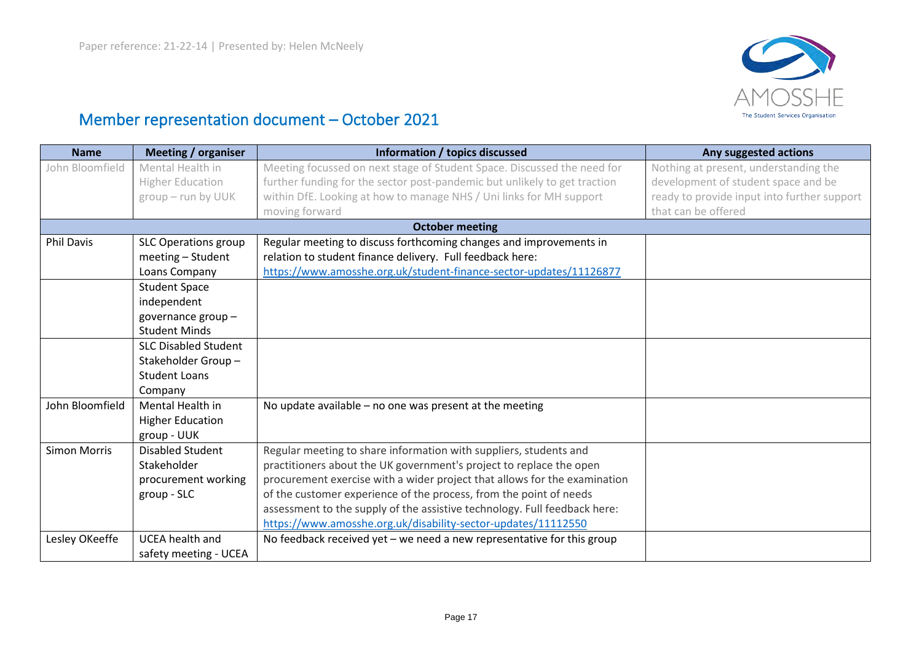

# Member representation document – October 2021

| <b>Name</b>         | <b>Meeting / organiser</b>  | Information / topics discussed                                            | Any suggested actions                       |
|---------------------|-----------------------------|---------------------------------------------------------------------------|---------------------------------------------|
| John Bloomfield     | Mental Health in            | Meeting focussed on next stage of Student Space. Discussed the need for   | Nothing at present, understanding the       |
|                     | <b>Higher Education</b>     | further funding for the sector post-pandemic but unlikely to get traction | development of student space and be         |
|                     | group - run by UUK          | within DfE. Looking at how to manage NHS / Uni links for MH support       | ready to provide input into further support |
|                     |                             | moving forward                                                            | that can be offered                         |
|                     |                             | <b>October meeting</b>                                                    |                                             |
| <b>Phil Davis</b>   | <b>SLC Operations group</b> | Regular meeting to discuss forthcoming changes and improvements in        |                                             |
|                     | meeting - Student           | relation to student finance delivery. Full feedback here:                 |                                             |
|                     | Loans Company               | https://www.amosshe.org.uk/student-finance-sector-updates/11126877        |                                             |
|                     | <b>Student Space</b>        |                                                                           |                                             |
|                     | independent                 |                                                                           |                                             |
|                     | governance group-           |                                                                           |                                             |
|                     | <b>Student Minds</b>        |                                                                           |                                             |
|                     | <b>SLC Disabled Student</b> |                                                                           |                                             |
|                     | Stakeholder Group-          |                                                                           |                                             |
|                     | <b>Student Loans</b>        |                                                                           |                                             |
|                     | Company                     |                                                                           |                                             |
| John Bloomfield     | Mental Health in            | No update available - no one was present at the meeting                   |                                             |
|                     | <b>Higher Education</b>     |                                                                           |                                             |
|                     | group - UUK                 |                                                                           |                                             |
| <b>Simon Morris</b> | <b>Disabled Student</b>     | Regular meeting to share information with suppliers, students and         |                                             |
|                     | Stakeholder                 | practitioners about the UK government's project to replace the open       |                                             |
|                     | procurement working         | procurement exercise with a wider project that allows for the examination |                                             |
|                     | group - SLC                 | of the customer experience of the process, from the point of needs        |                                             |
|                     |                             | assessment to the supply of the assistive technology. Full feedback here: |                                             |
|                     |                             | https://www.amosshe.org.uk/disability-sector-updates/11112550             |                                             |
| Lesley OKeeffe      | <b>UCEA</b> health and      | No feedback received yet $-$ we need a new representative for this group  |                                             |
|                     | safety meeting - UCEA       |                                                                           |                                             |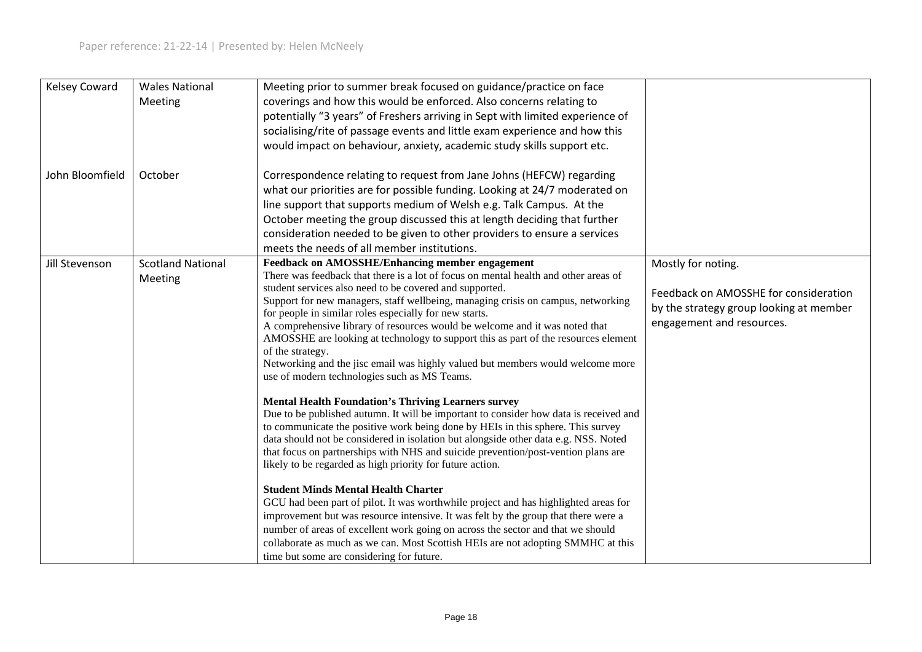| <b>Kelsey Coward</b> | <b>Wales National</b><br>Meeting    | Meeting prior to summer break focused on guidance/practice on face<br>coverings and how this would be enforced. Also concerns relating to<br>potentially "3 years" of Freshers arriving in Sept with limited experience of<br>socialising/rite of passage events and little exam experience and how this<br>would impact on behaviour, anxiety, academic study skills support etc.                                                                                                                                                                                                                                                                                                                                                                                                                                                                                                                                                                                                                                                                                                                                                                                                                                                                                                                                                                                                                                                                                                                                                                                                                                  |                                                                                                                                     |
|----------------------|-------------------------------------|---------------------------------------------------------------------------------------------------------------------------------------------------------------------------------------------------------------------------------------------------------------------------------------------------------------------------------------------------------------------------------------------------------------------------------------------------------------------------------------------------------------------------------------------------------------------------------------------------------------------------------------------------------------------------------------------------------------------------------------------------------------------------------------------------------------------------------------------------------------------------------------------------------------------------------------------------------------------------------------------------------------------------------------------------------------------------------------------------------------------------------------------------------------------------------------------------------------------------------------------------------------------------------------------------------------------------------------------------------------------------------------------------------------------------------------------------------------------------------------------------------------------------------------------------------------------------------------------------------------------|-------------------------------------------------------------------------------------------------------------------------------------|
| John Bloomfield      | October                             | Correspondence relating to request from Jane Johns (HEFCW) regarding<br>what our priorities are for possible funding. Looking at 24/7 moderated on<br>line support that supports medium of Welsh e.g. Talk Campus. At the<br>October meeting the group discussed this at length deciding that further<br>consideration needed to be given to other providers to ensure a services<br>meets the needs of all member institutions.                                                                                                                                                                                                                                                                                                                                                                                                                                                                                                                                                                                                                                                                                                                                                                                                                                                                                                                                                                                                                                                                                                                                                                                    |                                                                                                                                     |
| Jill Stevenson       | <b>Scotland National</b><br>Meeting | <b>Feedback on AMOSSHE/Enhancing member engagement</b><br>There was feedback that there is a lot of focus on mental health and other areas of<br>student services also need to be covered and supported.<br>Support for new managers, staff wellbeing, managing crisis on campus, networking<br>for people in similar roles especially for new starts.<br>A comprehensive library of resources would be welcome and it was noted that<br>AMOSSHE are looking at technology to support this as part of the resources element<br>of the strategy.<br>Networking and the jisc email was highly valued but members would welcome more<br>use of modern technologies such as MS Teams.<br><b>Mental Health Foundation's Thriving Learners survey</b><br>Due to be published autumn. It will be important to consider how data is received and<br>to communicate the positive work being done by HEIs in this sphere. This survey<br>data should not be considered in isolation but alongside other data e.g. NSS. Noted<br>that focus on partnerships with NHS and suicide prevention/post-vention plans are<br>likely to be regarded as high priority for future action.<br><b>Student Minds Mental Health Charter</b><br>GCU had been part of pilot. It was worthwhile project and has highlighted areas for<br>improvement but was resource intensive. It was felt by the group that there were a<br>number of areas of excellent work going on across the sector and that we should<br>collaborate as much as we can. Most Scottish HEIs are not adopting SMMHC at this<br>time but some are considering for future. | Mostly for noting.<br>Feedback on AMOSSHE for consideration<br>by the strategy group looking at member<br>engagement and resources. |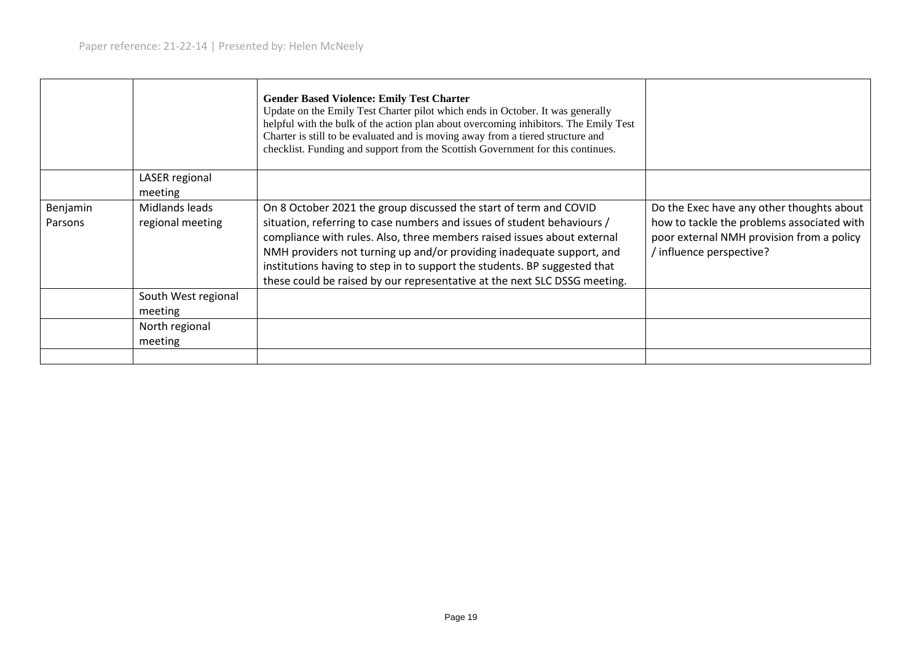|          |                     | <b>Gender Based Violence: Emily Test Charter</b><br>Update on the Emily Test Charter pilot which ends in October. It was generally<br>helpful with the bulk of the action plan about overcoming inhibitors. The Emily Test<br>Charter is still to be evaluated and is moving away from a tiered structure and<br>checklist. Funding and support from the Scottish Government for this continues. |                                                                     |
|----------|---------------------|--------------------------------------------------------------------------------------------------------------------------------------------------------------------------------------------------------------------------------------------------------------------------------------------------------------------------------------------------------------------------------------------------|---------------------------------------------------------------------|
|          | LASER regional      |                                                                                                                                                                                                                                                                                                                                                                                                  |                                                                     |
|          | meeting             |                                                                                                                                                                                                                                                                                                                                                                                                  |                                                                     |
| Benjamin | Midlands leads      | On 8 October 2021 the group discussed the start of term and COVID                                                                                                                                                                                                                                                                                                                                | Do the Exec have any other thoughts about                           |
| Parsons  | regional meeting    | situation, referring to case numbers and issues of student behaviours /                                                                                                                                                                                                                                                                                                                          | how to tackle the problems associated with                          |
|          |                     | compliance with rules. Also, three members raised issues about external<br>NMH providers not turning up and/or providing inadequate support, and                                                                                                                                                                                                                                                 | poor external NMH provision from a policy<br>influence perspective? |
|          |                     | institutions having to step in to support the students. BP suggested that                                                                                                                                                                                                                                                                                                                        |                                                                     |
|          |                     | these could be raised by our representative at the next SLC DSSG meeting.                                                                                                                                                                                                                                                                                                                        |                                                                     |
|          | South West regional |                                                                                                                                                                                                                                                                                                                                                                                                  |                                                                     |
|          | meeting             |                                                                                                                                                                                                                                                                                                                                                                                                  |                                                                     |
|          | North regional      |                                                                                                                                                                                                                                                                                                                                                                                                  |                                                                     |
|          | meeting             |                                                                                                                                                                                                                                                                                                                                                                                                  |                                                                     |
|          |                     |                                                                                                                                                                                                                                                                                                                                                                                                  |                                                                     |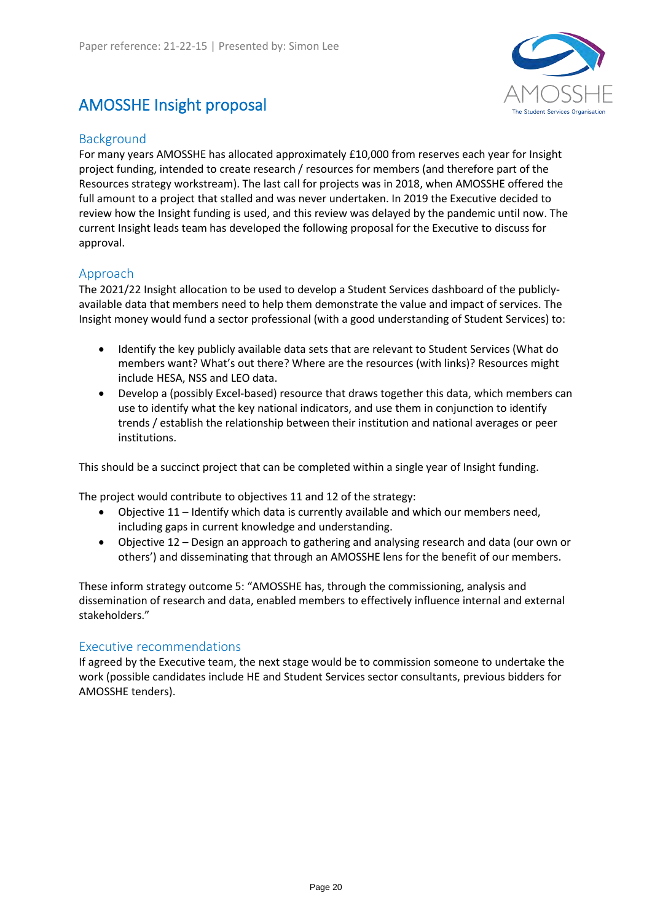# <span id="page-18-0"></span>AMOSSHE Insight proposal



# Background

For many years AMOSSHE has allocated approximately £10,000 from reserves each year for Insight project funding, intended to create research / resources for members (and therefore part of the Resources strategy workstream). The last call for projects was in 2018, when AMOSSHE offered the full amount to a project that stalled and was never undertaken. In 2019 the Executive decided to review how the Insight funding is used, and this review was delayed by the pandemic until now. The current Insight leads team has developed the following proposal for the Executive to discuss for approval.

# Approach

The 2021/22 Insight allocation to be used to develop a Student Services dashboard of the publiclyavailable data that members need to help them demonstrate the value and impact of services. The Insight money would fund a sector professional (with a good understanding of Student Services) to:

- Identify the key publicly available data sets that are relevant to Student Services (What do members want? What's out there? Where are the resources (with links)? Resources might include HESA, NSS and LEO data.
- Develop a (possibly Excel-based) resource that draws together this data, which members can use to identify what the key national indicators, and use them in conjunction to identify trends / establish the relationship between their institution and national averages or peer institutions.

This should be a succinct project that can be completed within a single year of Insight funding.

The project would contribute to objectives 11 and 12 of the strategy:

- Objective 11 Identify which data is currently available and which our members need, including gaps in current knowledge and understanding.
- Objective 12 Design an approach to gathering and analysing research and data (our own or others') and disseminating that through an AMOSSHE lens for the benefit of our members.

These inform strategy outcome 5: "AMOSSHE has, through the commissioning, analysis and dissemination of research and data, enabled members to effectively influence internal and external stakeholders."

## Executive recommendations

If agreed by the Executive team, the next stage would be to commission someone to undertake the work (possible candidates include HE and Student Services sector consultants, previous bidders for AMOSSHE tenders).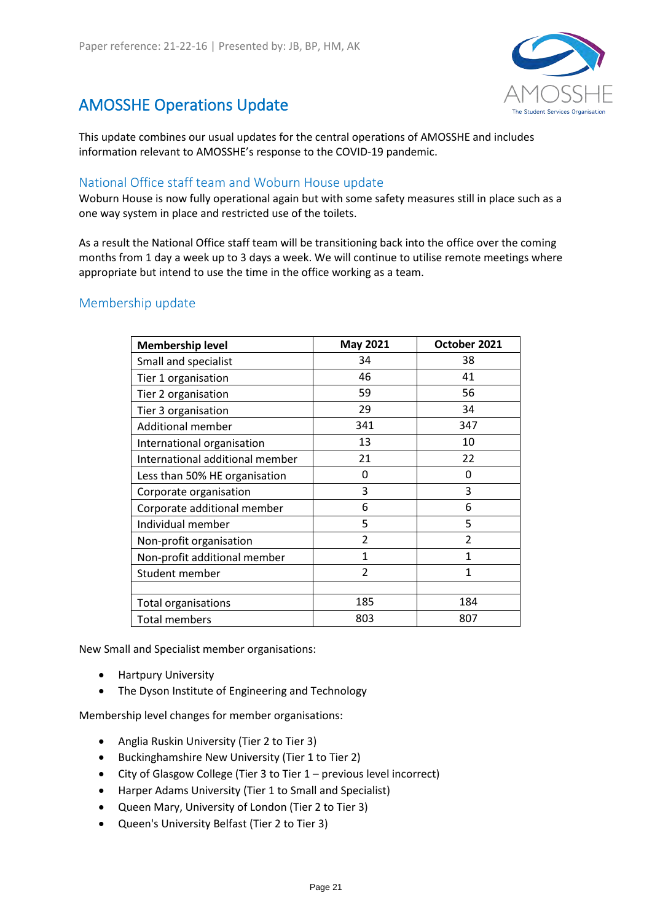# <span id="page-19-0"></span>AMOSSHE Operations Update



This update combines our usual updates for the central operations of AMOSSHE and includes information relevant to AMOSSHE's response to the COVID-19 pandemic.

# National Office staff team and Woburn House update

Woburn House is now fully operational again but with some safety measures still in place such as a one way system in place and restricted use of the toilets.

As a result the National Office staff team will be transitioning back into the office over the coming months from 1 day a week up to 3 days a week. We will continue to utilise remote meetings where appropriate but intend to use the time in the office working as a team.

# Membership update

| <b>Membership level</b>         | <b>May 2021</b>         | October 2021             |
|---------------------------------|-------------------------|--------------------------|
| Small and specialist            | 34                      | 38                       |
| Tier 1 organisation             | 46                      | 41                       |
| Tier 2 organisation             | 59                      | 56                       |
| Tier 3 organisation             | 29                      | 34                       |
| <b>Additional member</b>        | 341                     | 347                      |
| International organisation      | 13                      | 10                       |
| International additional member | 21                      | 22                       |
| Less than 50% HE organisation   | 0                       | 0                        |
| Corporate organisation          | 3                       | 3                        |
| Corporate additional member     | 6                       | 6                        |
| Individual member               | 5                       | 5                        |
| Non-profit organisation         | $\overline{\mathbf{c}}$ | $\overline{\phantom{a}}$ |
| Non-profit additional member    | 1                       | 1                        |
| Student member                  | $\overline{\mathbf{c}}$ | 1                        |
|                                 |                         |                          |
| <b>Total organisations</b>      | 185                     | 184                      |
| <b>Total members</b>            | 803                     | 807                      |

New Small and Specialist member organisations:

- Hartpury University
- The Dyson Institute of Engineering and Technology

Membership level changes for member organisations:

- Anglia Ruskin University (Tier 2 to Tier 3)
- Buckinghamshire New University (Tier 1 to Tier 2)
- City of Glasgow College (Tier 3 to Tier 1 previous level incorrect)
- Harper Adams University (Tier 1 to Small and Specialist)
- Queen Mary, University of London (Tier 2 to Tier 3)
- Queen's University Belfast (Tier 2 to Tier 3)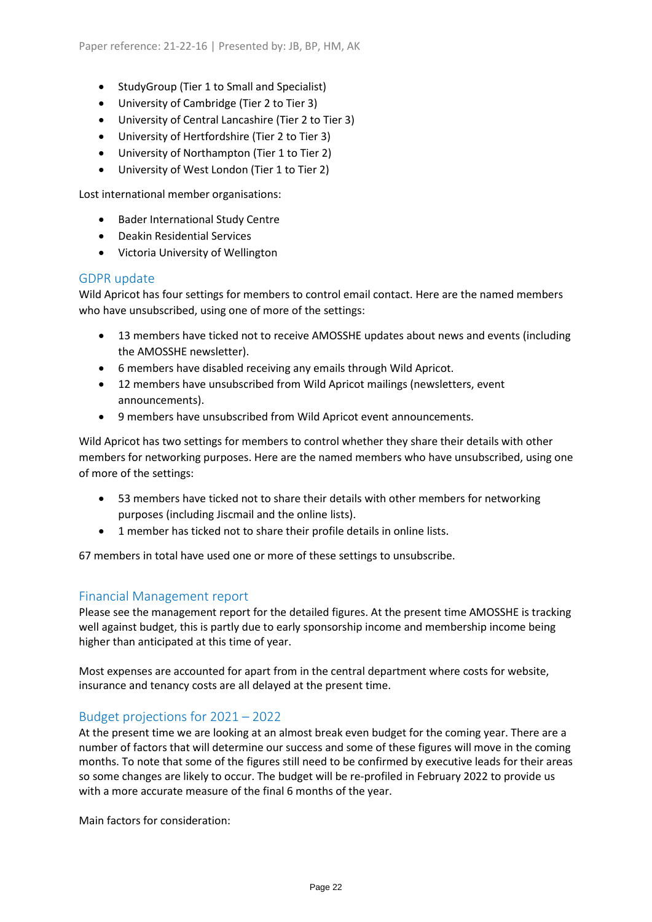- StudyGroup (Tier 1 to Small and Specialist)
- University of Cambridge (Tier 2 to Tier 3)
- University of Central Lancashire (Tier 2 to Tier 3)
- University of Hertfordshire (Tier 2 to Tier 3)
- University of Northampton (Tier 1 to Tier 2)
- University of West London (Tier 1 to Tier 2)

Lost international member organisations:

- Bader International Study Centre
- Deakin Residential Services
- Victoria University of Wellington

### GDPR update

Wild Apricot has four settings for members to control email contact. Here are the named members who have unsubscribed, using one of more of the settings:

- 13 members have ticked not to receive AMOSSHE updates about news and events (including the AMOSSHE newsletter).
- 6 members have disabled receiving any emails through Wild Apricot.
- 12 members have unsubscribed from Wild Apricot mailings (newsletters, event announcements).
- 9 members have unsubscribed from Wild Apricot event announcements.

Wild Apricot has two settings for members to control whether they share their details with other members for networking purposes. Here are the named members who have unsubscribed, using one of more of the settings:

- 53 members have ticked not to share their details with other members for networking purposes (including Jiscmail and the online lists).
- 1 member has ticked not to share their profile details in online lists.

67 members in total have used one or more of these settings to unsubscribe.

## Financial Management report

Please see the management report for the detailed figures. At the present time AMOSSHE is tracking well against budget, this is partly due to early sponsorship income and membership income being higher than anticipated at this time of year.

Most expenses are accounted for apart from in the central department where costs for website, insurance and tenancy costs are all delayed at the present time.

## Budget projections for 2021 – 2022

At the present time we are looking at an almost break even budget for the coming year. There are a number of factors that will determine our success and some of these figures will move in the coming months. To note that some of the figures still need to be confirmed by executive leads for their areas so some changes are likely to occur. The budget will be re-profiled in February 2022 to provide us with a more accurate measure of the final 6 months of the year.

Main factors for consideration: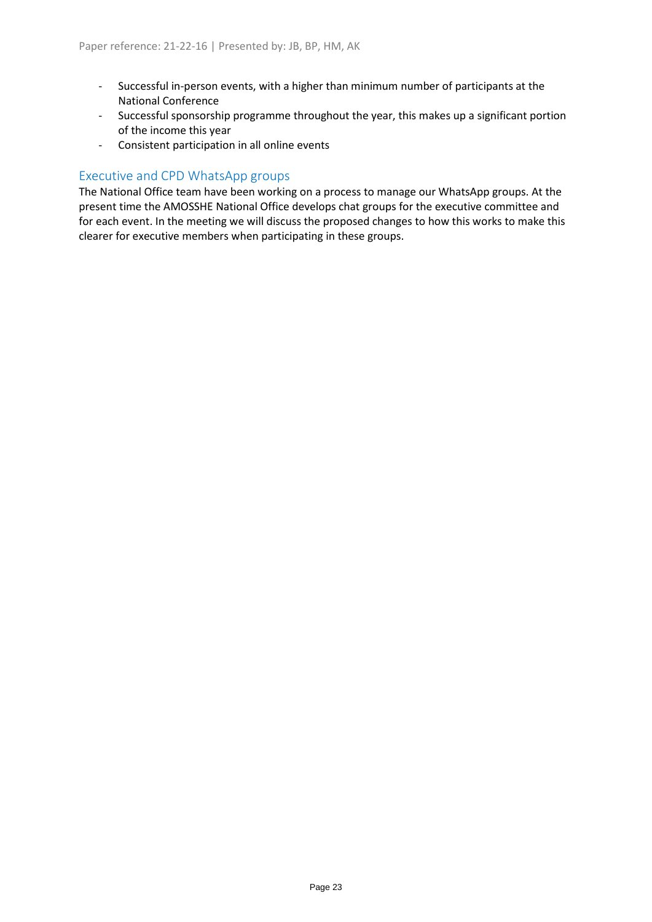- Successful in-person events, with a higher than minimum number of participants at the National Conference
- Successful sponsorship programme throughout the year, this makes up a significant portion of the income this year
- Consistent participation in all online events

# Executive and CPD WhatsApp groups

The National Office team have been working on a process to manage our WhatsApp groups. At the present time the AMOSSHE National Office develops chat groups for the executive committee and for each event. In the meeting we will discuss the proposed changes to how this works to make this clearer for executive members when participating in these groups.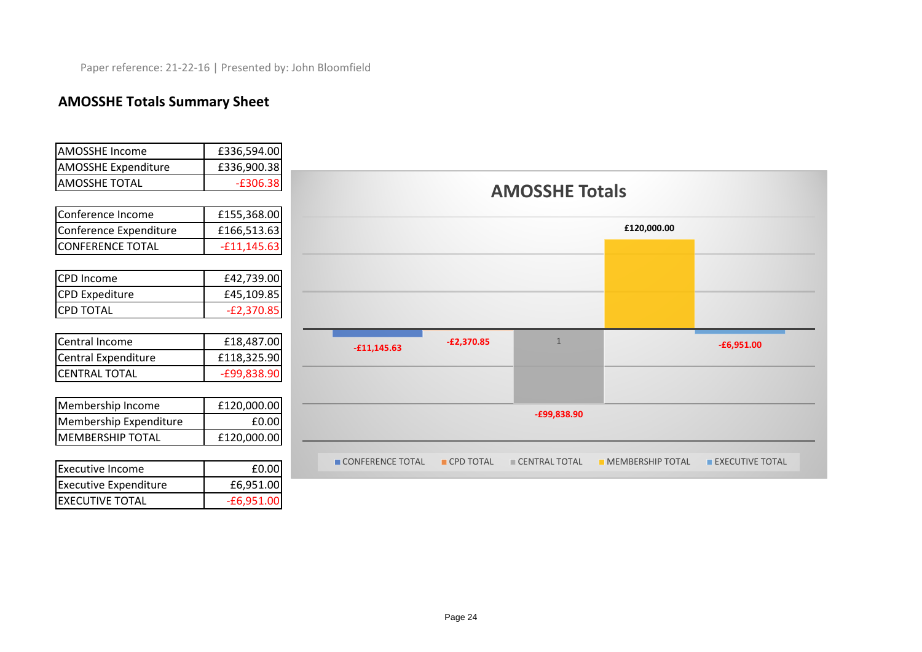# **AMOSSHE Totals Summary Sheet**

EXECUTIVE TOTAL **EXECUTIVE TOTAL** 

| <b>AMOSSHE Income</b>        | £336,594.00   |                  |              |                       |                         |                        |
|------------------------------|---------------|------------------|--------------|-----------------------|-------------------------|------------------------|
| <b>AMOSSHE Expenditure</b>   | £336,900.38   |                  |              |                       |                         |                        |
| <b>AMOSSHE TOTAL</b>         | $-£306.38$    |                  |              |                       |                         |                        |
|                              |               |                  |              | <b>AMOSSHE Totals</b> |                         |                        |
| Conference Income            | £155,368.00   |                  |              |                       |                         |                        |
| Conference Expenditure       | £166,513.63   |                  |              |                       | £120,000.00             |                        |
| <b>CONFERENCE TOTAL</b>      | $-£11,145.63$ |                  |              |                       |                         |                        |
|                              |               |                  |              |                       |                         |                        |
| CPD Income                   | £42,739.00    |                  |              |                       |                         |                        |
| <b>CPD Expediture</b>        | £45,109.85    |                  |              |                       |                         |                        |
| <b>CPD TOTAL</b>             | $-E2,370.85$  |                  |              |                       |                         |                        |
|                              |               |                  |              |                       |                         |                        |
| Central Income               | £18,487.00    | $-£11,145.63$    | $-E2,370.85$ | $\overline{1}$        |                         | $-£6,951.00$           |
| Central Expenditure          | £118,325.90   |                  |              |                       |                         |                        |
| <b>CENTRAL TOTAL</b>         | -£99,838.90   |                  |              |                       |                         |                        |
|                              |               |                  |              |                       |                         |                        |
| Membership Income            | £120,000.00   |                  |              |                       |                         |                        |
| Membership Expenditure       | £0.00         |                  |              | $-E99,838.90$         |                         |                        |
| <b>MEMBERSHIP TOTAL</b>      | £120,000.00   |                  |              |                       |                         |                        |
|                              |               |                  |              |                       |                         |                        |
| <b>Executive Income</b>      | £0.00         | CONFERENCE TOTAL | CPD TOTAL    | CENTRAL TOTAL         | <b>MEMBERSHIP TOTAL</b> | <b>EXECUTIVE TOTAL</b> |
| <b>Executive Expenditure</b> | £6,951.00     |                  |              |                       |                         |                        |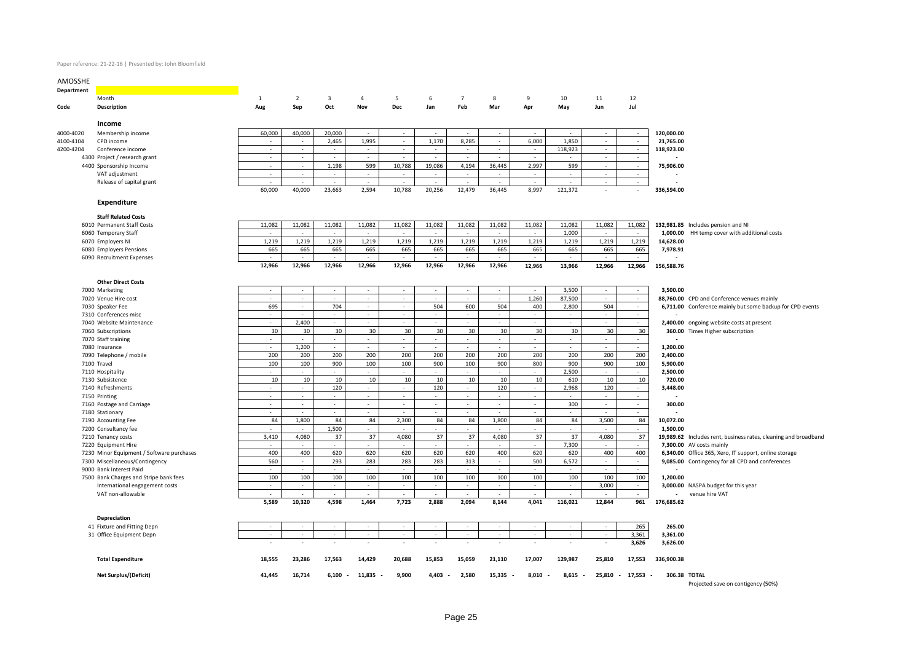### Paper reference: 21-22-16 | Presented by: John Bloomfield

| AMOSSHE    |                                                                                                                         |                          |                  |                             |                |                          |                                   |                          |                          |                          |                          |                          |                          |                                        |                                                                 |
|------------|-------------------------------------------------------------------------------------------------------------------------|--------------------------|------------------|-----------------------------|----------------|--------------------------|-----------------------------------|--------------------------|--------------------------|--------------------------|--------------------------|--------------------------|--------------------------|----------------------------------------|-----------------------------------------------------------------|
| Department | $\mathcal{L}(\mathcal{L})$ and $\mathcal{L}(\mathcal{L})$ and $\mathcal{L}(\mathcal{L})$ and $\mathcal{L}(\mathcal{L})$ |                          |                  |                             |                |                          |                                   |                          |                          |                          |                          |                          |                          |                                        |                                                                 |
|            | Month                                                                                                                   | $\overline{1}$           | $\overline{2}$   | $\overline{\mathbf{3}}$     | $\overline{4}$ | 5                        | 6                                 | $\overline{7}$           | 8                        | 9                        | 10                       | 11                       | 12                       |                                        |                                                                 |
| Code       | Description                                                                                                             | Aug                      | Sep              | Oct                         | Nov            | Dec                      | Jan                               | Feb                      | Mar                      | Apr                      | May                      | Jun                      | Jul                      |                                        |                                                                 |
|            | Income                                                                                                                  |                          |                  |                             |                |                          |                                   |                          |                          |                          |                          |                          |                          |                                        |                                                                 |
| 4000-4020  | Membership income                                                                                                       | 60,000                   | 40,000           | 20,000                      |                |                          |                                   |                          |                          |                          |                          | $\sim$                   | $\sim$                   | 120,000.00                             |                                                                 |
| 4100-4104  | CPD income                                                                                                              |                          |                  | 2,465                       | 1,995          | $\sim$                   | 1,170                             | 8,285                    | $\sim$                   | 6,000                    | 1,850                    | $\sim$                   | $\sim$                   | 21,765.00                              |                                                                 |
| 4200-4204  | Conference income                                                                                                       |                          |                  |                             |                |                          |                                   |                          |                          |                          | 118,923                  |                          |                          | 118,923.00                             |                                                                 |
|            | 4300 Project / research grant                                                                                           |                          | $\sim$           | $\overline{\phantom{a}}$    |                |                          |                                   |                          |                          |                          |                          | $\overline{\phantom{a}}$ |                          |                                        |                                                                 |
|            | 4400 Sponsorship Income                                                                                                 | $\sim$                   | $\sim$           | 1,198                       | 599            | 10,788                   | 19,086                            | 4,194                    | 36,445                   | 2,997                    | 599                      | $\sim$                   | $\sim$                   | 75,906.00                              |                                                                 |
|            | VAT adjustment                                                                                                          |                          |                  | $\overline{\phantom{a}}$    |                |                          |                                   |                          |                          |                          |                          |                          | $\sim$                   |                                        |                                                                 |
|            | Release of capital grant                                                                                                |                          |                  | $\overline{\phantom{a}}$    | $\sim$         |                          |                                   |                          |                          |                          |                          | $\sim$                   | $\overline{\phantom{a}}$ |                                        |                                                                 |
|            |                                                                                                                         | 60,000                   | 40,000           | 23,663                      | 2,594          | 10,788                   | 20,256                            | 12,479                   | 36,445                   | 8,997                    | 121,372                  |                          | $\sim$                   | 336,594.00                             |                                                                 |
|            | Expenditure                                                                                                             |                          |                  |                             |                |                          |                                   |                          |                          |                          |                          |                          |                          |                                        |                                                                 |
|            | <b>Staff Related Costs</b>                                                                                              |                          |                  |                             |                |                          |                                   |                          |                          |                          |                          |                          |                          |                                        |                                                                 |
|            | 6010 Permanent Staff Costs                                                                                              | 11,082                   | 11,082           | 11,082                      | 11,082         | 11,082                   | 11,082                            | 11,082                   | 11,082                   | 11,082                   | 11,082                   | 11,082                   | 11,082                   |                                        | 132,981.85 Includes pension and NI                              |
|            | 6060 Temporary Staff                                                                                                    |                          | $\sim$           | $\overline{\phantom{a}}$    | $\sim$         | $\sim$                   | $\sim$                            | $\sim$                   | $\sim$                   | $\sim$                   | 1,000                    | $\sim$                   | $\overline{\phantom{a}}$ |                                        | 1,000.00 HH temp cover with additional costs                    |
|            | 6070 Employers NI                                                                                                       | 1,219                    | 1,219            | 1,219                       | 1,219          | 1,219                    | 1,219                             | 1,219                    | 1,219                    | 1,219                    | 1,219                    | 1,219                    | 1,219                    | 14,628.00                              |                                                                 |
|            | 6080 Employers Pensions                                                                                                 | 665                      | 665              | 665                         | 665            | 665                      | 665                               | 665                      | 665                      | 665                      | 665                      | 665                      | 665                      | 7,978.91                               |                                                                 |
|            | 6090 Recruitment Expenses                                                                                               |                          | $\sim$           | $\overline{\phantom{a}}$    | $\sim$         |                          |                                   | $\sim$                   |                          |                          | $\sim$                   | $\sim$                   | $\sim$                   |                                        |                                                                 |
|            |                                                                                                                         | 12,966                   | 12,966           | 12,966                      | 12,966         | 12,966                   | 12,966                            | 12,966                   | 12,966                   | 12,966                   | 13,966                   | 12,966                   | 12,966                   | 156,588.76                             |                                                                 |
|            | <b>Other Direct Costs</b>                                                                                               |                          |                  |                             |                |                          |                                   |                          |                          |                          |                          |                          |                          |                                        |                                                                 |
|            | 7000 Marketing                                                                                                          | $\overline{a}$           | $\sim$           | $\sim$                      | $\sim$         | $\overline{\phantom{a}}$ | $\sim$                            | $\sim$                   | $\sim$                   | $\sim$                   | 3,500                    | $\sim$                   |                          | 3,500.00                               |                                                                 |
|            | 7020 Venue Hire cost                                                                                                    |                          | $\sim$           | $\overline{\phantom{a}}$    | $\sim$         | $\overline{\phantom{a}}$ |                                   | $\overline{\phantom{a}}$ | $\sim$                   | 1,260                    | 87,500                   |                          | $\sim$                   |                                        | 88,760.00 CPD and Conference venues mainly                      |
|            | 7030 Speaker Fee                                                                                                        | 695                      | $\sim$           | 704                         | $\sim$         | $\sim$                   | 504                               | 600                      | 504                      | 400                      | 2,800                    | 504                      | $\sim$                   |                                        | 6,711.00 Conference mainly but some backup for CPD events       |
|            | 7310 Conferences misc                                                                                                   |                          |                  |                             |                |                          |                                   |                          |                          |                          |                          |                          |                          |                                        |                                                                 |
|            | 7040 Website Maintenance                                                                                                |                          | 2,400            | $\overline{\phantom{a}}$    | $\sim$         | $\sim$                   |                                   | $\sim$                   |                          | $\sim$                   | $\sim$                   |                          | $\overline{\phantom{a}}$ |                                        | 2,400.00 ongoing website costs at present                       |
|            | 7060 Subscriptions                                                                                                      | 30                       | 30               | 30                          | 30             | 30                       | 30                                | 30                       | 30                       | 30                       | 30                       | 30                       | 30                       |                                        | 360.00 Times Higher subscription                                |
|            | 7070 Staff training                                                                                                     | $\overline{\phantom{a}}$ |                  |                             | $\sim$         | $\sim$                   |                                   |                          |                          | $\sim$                   |                          |                          | $\overline{\phantom{a}}$ |                                        |                                                                 |
|            | 7080 Insurance                                                                                                          |                          | 1,200            | $\overline{\phantom{a}}$    |                |                          |                                   | $\sim$                   | $\sim$                   | $\sim$                   | $\sim$                   |                          | $\overline{\phantom{a}}$ | 1,200.00                               |                                                                 |
|            |                                                                                                                         | 200                      | 200              | 200                         | 200            | 200                      | 200                               | 200                      | 200                      | 200                      | 200                      | 200                      | 200                      | 2,400.00                               |                                                                 |
|            | 7090 Telephone / mobile                                                                                                 | 100                      | 100              | 900                         | 100            | 100                      | 900                               | 100                      | 900                      | 800                      | 900                      | 900                      | 100                      |                                        |                                                                 |
|            | 7100 Travel                                                                                                             |                          |                  |                             |                |                          |                                   |                          |                          |                          |                          |                          |                          | 5,900.00                               |                                                                 |
|            | 7110 Hospitality                                                                                                        | $\sim$                   | $\sim$           | $\sim$                      | $\sim$         | $\sim$                   | ÷                                 | $\sim$                   | $\sim$                   | $\overline{\phantom{a}}$ | 2,500                    | $\sim$                   | $\overline{\phantom{a}}$ | 2,500.00                               |                                                                 |
|            | 7130 Subsistence                                                                                                        | 10                       | 10               | 10                          | $10\,$         | 10                       | 10                                | 10                       | 10                       | 10                       | 610                      | $10\,$                   | 10                       | 720.00                                 |                                                                 |
|            | 7140 Refreshments                                                                                                       | $\sim$<br>$\sim$         | $\sim$           | 120                         | $\sim$         | $\sim$                   | 120                               | $\sim$                   | 120                      | $\sim$                   | 2,968                    | 120                      | $\overline{\phantom{a}}$ | 3,448.00                               |                                                                 |
|            | 7150 Printing                                                                                                           | ÷                        | $\sim$<br>$\sim$ | $\sim$<br>÷                 | $\sim$<br>÷    | $\sim$<br>$\sim$         | $\sim$<br>÷                       | $\sim$<br>÷              | $\sim$<br>$\mathbf{r}$   | $\sim$                   | $\sim$                   | $\sim$<br>$\mathcal{L}$  | $\sim$                   |                                        |                                                                 |
|            | 7160 Postage and Carriage                                                                                               |                          |                  |                             |                |                          |                                   |                          |                          |                          | 300                      |                          | $\sim$                   | 300.00                                 |                                                                 |
|            | 7180 Stationary                                                                                                         | ÷                        | $\sim$           | $\overline{\phantom{a}}$    | $\sim$         | $\sim$                   | ÷                                 | $\sim$                   | $\sim$                   | $\sim$                   | $\sim$                   |                          |                          |                                        |                                                                 |
|            | 7190 Accounting Fee                                                                                                     | 84                       | 1.800            | 84                          | 84             | 2.300                    | 84                                | 84                       | 1.800                    | 84                       | 84                       | 3.500                    | 84                       | 10,072.00                              |                                                                 |
|            | 7200 Consultancy fee                                                                                                    |                          |                  | 1,500                       |                |                          |                                   |                          |                          |                          |                          |                          |                          | 1,500.00                               |                                                                 |
|            | 7210 Tenancy costs                                                                                                      | 3,410                    | 4,080            | 37                          | 37             | 4,080                    | 37                                | 37                       | 4,080                    | 37                       | 37                       | 4,080                    | 37                       |                                        | 19,989.62 Includes rent, business rates, cleaning and broadband |
|            | 7220 Equipment Hire                                                                                                     |                          |                  | $\mathcal{L}_{\mathcal{A}}$ |                |                          |                                   |                          |                          | $\sim$                   | 7,300                    |                          |                          |                                        | 7,300.00 AV costs mainly                                        |
|            | 7230 Minor Equipment / Software purchases                                                                               | 400                      | 400              | 620                         | 620            | 620                      | 620                               | 620                      | 400                      | 620                      | 620                      | 400                      | 400                      |                                        | 6,340.00 Office 365, Xero, IT support, online storage           |
|            | 7300 Miscellaneous/Contingency                                                                                          | 560                      | $\sim$           | 293                         | 283            | 283                      | 283                               | 313                      | $\sim$                   | 500                      | 6,572                    | $\sim$                   | $\sim$                   |                                        | 9,085.00 Contingency for all CPD and conferences                |
|            | 9000 Bank Interest Paid                                                                                                 |                          | $\sim$           |                             | $\sim$         |                          |                                   |                          | $\sim$                   |                          |                          |                          |                          |                                        |                                                                 |
|            | 7500 Bank Charges and Stripe bank fees                                                                                  | 100                      | 100              | 100                         | 100            | 100                      | 100                               | 100                      | 100                      | 100                      | 100                      | 100                      | 100                      | 1,200.00                               |                                                                 |
|            | International engagement costs                                                                                          | $\sim$                   | $\sim$           | $\sim$                      | $\sim$         | $\sim$                   | $\sim$                            | $\sim$                   | $\overline{\phantom{a}}$ | $\sim$                   | $\sim$                   | 3,000                    | $\sim$                   |                                        | 3,000.00 NASPA budget for this year                             |
|            | VAT non-allowable                                                                                                       | 5,589                    | 10,320           | 4,598                       | 1,464          | 7,723                    | 2,888                             | 2,094                    | 8,144                    | 4,041                    | 116,021                  | 12,844                   | 961                      | $\overline{\phantom{a}}$<br>176,685.62 | venue hire VAT                                                  |
|            |                                                                                                                         |                          |                  |                             |                |                          |                                   |                          |                          |                          |                          |                          |                          |                                        |                                                                 |
|            | Depreciation                                                                                                            |                          |                  |                             |                |                          |                                   |                          |                          |                          |                          |                          |                          |                                        |                                                                 |
|            | 41 Fixture and Fitting Depn                                                                                             |                          | $\sim$           | $\overline{\phantom{a}}$    | $\sim$         | $\sim$                   | $\sim$                            | $\overline{\phantom{a}}$ | $\sim$                   | $\sim$                   | $\overline{\phantom{a}}$ | $\sim$                   | 265                      | 265.00                                 |                                                                 |
|            | 31 Office Equipment Depn                                                                                                |                          | $\sim$           | $\overline{\phantom{a}}$    | $\sim$         | $\sim$                   | $\mathcal{L}$                     | ÷.                       | $\sim$                   | $\sim$                   | $\sim$                   | $\mathcal{L}$            | 3,361                    | 3,361.00                               |                                                                 |
|            |                                                                                                                         | $\overline{\phantom{a}}$ | $\sim$           | $\overline{\phantom{a}}$    | $\sim$         | $\overline{\phantom{a}}$ | $\overline{\phantom{a}}$          | $\blacksquare$           | $\overline{\phantom{a}}$ | $\overline{\phantom{a}}$ | $\overline{\phantom{a}}$ | $\overline{\phantom{a}}$ | 3,626                    | 3,626.00                               |                                                                 |
|            | <b>Total Expenditure</b>                                                                                                | 18,555                   | 23,286           | 17,563                      | 14,429         | 20,688                   | 15,853                            | 15,059                   | 21,110                   | 17,007                   | 129,987                  | 25,810                   | 17,553                   | 336,900.38                             |                                                                 |
|            | <b>Net Surplus/(Deficit)</b>                                                                                            | 41,445                   | 16,714           | $6,100 -$                   | 11,835         | 9,900                    | 4,403<br>$\overline{\phantom{a}}$ | 2,580                    | 15,335                   | 8,010                    | $8,615 -$                |                          | 25,810 - 17,553 -        |                                        | 306.38 TOTAL<br>Projected save on contigency (50%)              |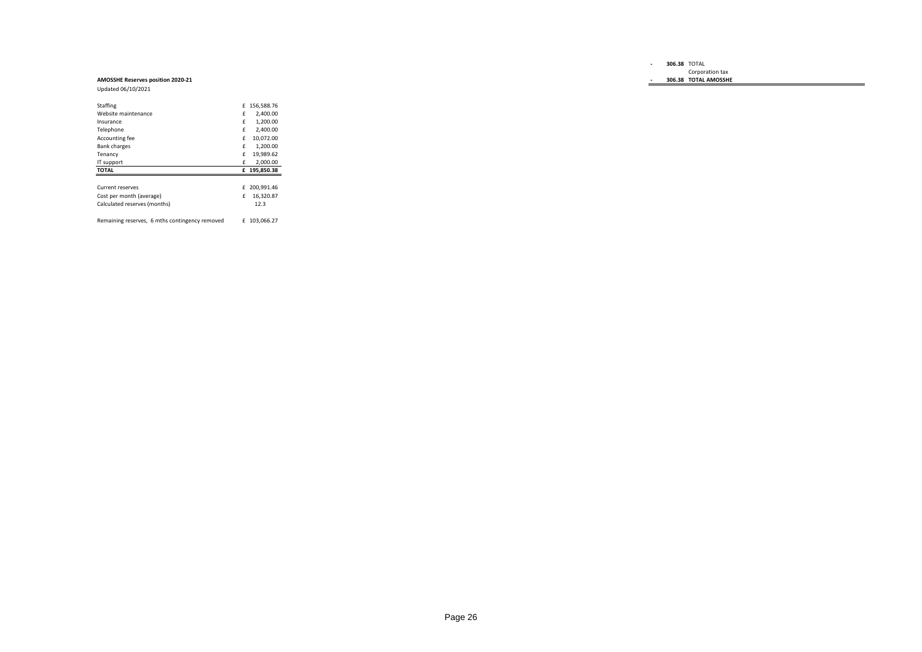#### **- 306.38** TOTAL Corporation tax

#### **- 306.38 TOTAL AMOSSHE**

### **AMOSSHE Reserves position 2020-21**

Updated 06/10/2021

| Staffing                                       | £ | 156,588.76 |
|------------------------------------------------|---|------------|
| Website maintenance                            | f | 2.400.00   |
| Insurance                                      | f | 1.200.00   |
| Telephone                                      | f | 2.400.00   |
| Accounting fee                                 | f | 10.072.00  |
| <b>Bank charges</b>                            | £ | 1.200.00   |
| Tenancy                                        | f | 19.989.62  |
| IT support                                     | f | 2.000.00   |
| <b>TOTAL</b>                                   | £ | 195.850.38 |
|                                                |   |            |
| Current reserves                               | £ | 200.991.46 |
| Cost per month (average)                       | f | 16.320.87  |
| Calculated reserves (months)                   |   | 12.3       |
| Remaining reserves, 6 mths contingency removed | f | 103.066.27 |